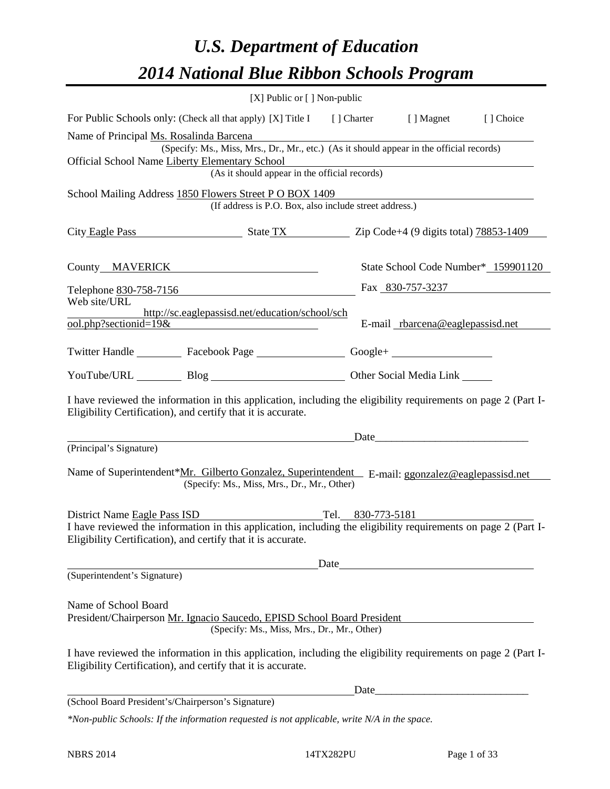# *U.S. Department of Education 2014 National Blue Ribbon Schools Program*

|                                                                                                                                                                                                                                        | [X] Public or [] Non-public                     |      |                                  |                                     |  |  |  |  |  |
|----------------------------------------------------------------------------------------------------------------------------------------------------------------------------------------------------------------------------------------|-------------------------------------------------|------|----------------------------------|-------------------------------------|--|--|--|--|--|
| For Public Schools only: (Check all that apply) [X] Title I [] Charter [] Magnet<br>[] Choice                                                                                                                                          |                                                 |      |                                  |                                     |  |  |  |  |  |
| Name of Principal Ms. Rosalinda Barcena<br>(Specify: Ms., Miss, Mrs., Dr., Mr., etc.) (As it should appear in the official records)<br>Official School Name Liberty Elementary School<br>(As it should appear in the official records) |                                                 |      |                                  |                                     |  |  |  |  |  |
| School Mailing Address 1850 Flowers Street PO BOX 1409<br>(If address is P.O. Box, also include street address.)                                                                                                                       |                                                 |      |                                  |                                     |  |  |  |  |  |
| City Eagle Pass State TX Zip Code+4 (9 digits total) 78853-1409                                                                                                                                                                        |                                                 |      |                                  |                                     |  |  |  |  |  |
| County MAVERICK News and Second Second Second Second Second Second Second Second Second Second Second Second Second Second Second Second Second Second Second Second Second Second Second Second Second Second Second Second S         |                                                 |      |                                  | State School Code Number* 159901120 |  |  |  |  |  |
| Telephone 830-758-7156                                                                                                                                                                                                                 |                                                 |      | Fax 830-757-3237                 |                                     |  |  |  |  |  |
| Web site/URL<br>$\overline{\text{ool.php}}$ ?sectionid=19&                                                                                                                                                                             | http://sc.eaglepassisd.net/education/school/sch |      | E-mail rbarcena@eaglepassisd.net |                                     |  |  |  |  |  |
| Twitter Handle ___________ Facebook Page ___________________ Google+ ____________                                                                                                                                                      |                                                 |      |                                  |                                     |  |  |  |  |  |
| YouTube/URL Blog Blog Discount Cher Social Media Link                                                                                                                                                                                  |                                                 |      |                                  |                                     |  |  |  |  |  |
| I have reviewed the information in this application, including the eligibility requirements on page 2 (Part I-<br>Eligibility Certification), and certify that it is accurate.                                                         |                                                 |      |                                  |                                     |  |  |  |  |  |
|                                                                                                                                                                                                                                        |                                                 |      | Date                             |                                     |  |  |  |  |  |
| (Principal's Signature)                                                                                                                                                                                                                |                                                 |      |                                  |                                     |  |  |  |  |  |
| Name of Superintendent*Mr. Gilberto Gonzalez, Superintendent E-mail: ggonzalez@eaglepassisd.net                                                                                                                                        | (Specify: Ms., Miss, Mrs., Dr., Mr., Other)     |      |                                  |                                     |  |  |  |  |  |
| District Name Eagle Pass ISD Tel. 830-773-5181                                                                                                                                                                                         |                                                 |      |                                  |                                     |  |  |  |  |  |
| I have reviewed the information in this application, including the eligibility requirements on page 2 (Part I-<br>Eligibility Certification), and certify that it is accurate.                                                         |                                                 |      |                                  |                                     |  |  |  |  |  |
|                                                                                                                                                                                                                                        |                                                 | Date |                                  |                                     |  |  |  |  |  |
| (Superintendent's Signature)                                                                                                                                                                                                           |                                                 |      |                                  |                                     |  |  |  |  |  |
| Name of School Board<br>President/Chairperson Mr. Ignacio Saucedo, EPISD School Board President                                                                                                                                        | (Specify: Ms., Miss, Mrs., Dr., Mr., Other)     |      |                                  |                                     |  |  |  |  |  |
| I have reviewed the information in this application, including the eligibility requirements on page 2 (Part I-<br>Eligibility Certification), and certify that it is accurate.                                                         |                                                 |      |                                  |                                     |  |  |  |  |  |
|                                                                                                                                                                                                                                        |                                                 | Date |                                  |                                     |  |  |  |  |  |
| (School Board President's/Chairperson's Signature)                                                                                                                                                                                     |                                                 |      |                                  |                                     |  |  |  |  |  |
| *Non-public Schools: If the information requested is not applicable, write N/A in the space.                                                                                                                                           |                                                 |      |                                  |                                     |  |  |  |  |  |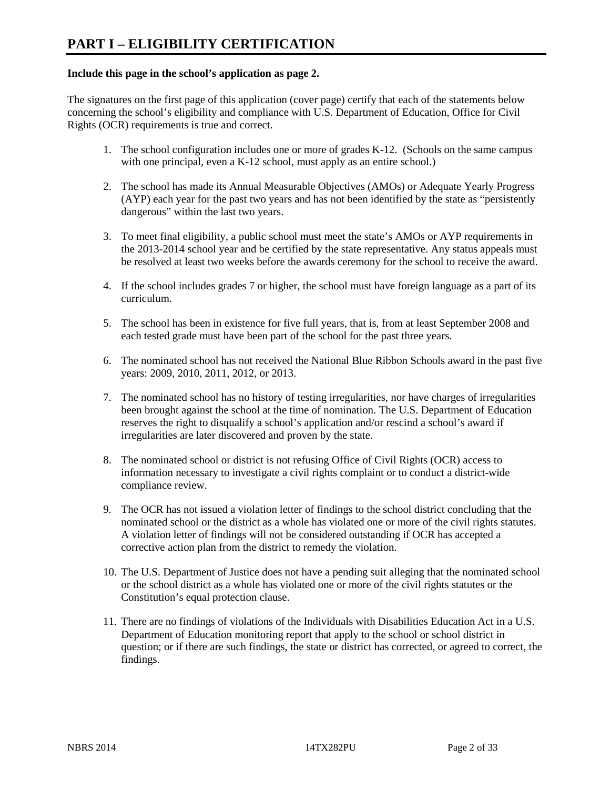### **Include this page in the school's application as page 2.**

The signatures on the first page of this application (cover page) certify that each of the statements below concerning the school's eligibility and compliance with U.S. Department of Education, Office for Civil Rights (OCR) requirements is true and correct.

- 1. The school configuration includes one or more of grades K-12. (Schools on the same campus with one principal, even a K-12 school, must apply as an entire school.)
- 2. The school has made its Annual Measurable Objectives (AMOs) or Adequate Yearly Progress (AYP) each year for the past two years and has not been identified by the state as "persistently dangerous" within the last two years.
- 3. To meet final eligibility, a public school must meet the state's AMOs or AYP requirements in the 2013-2014 school year and be certified by the state representative. Any status appeals must be resolved at least two weeks before the awards ceremony for the school to receive the award.
- 4. If the school includes grades 7 or higher, the school must have foreign language as a part of its curriculum.
- 5. The school has been in existence for five full years, that is, from at least September 2008 and each tested grade must have been part of the school for the past three years.
- 6. The nominated school has not received the National Blue Ribbon Schools award in the past five years: 2009, 2010, 2011, 2012, or 2013.
- 7. The nominated school has no history of testing irregularities, nor have charges of irregularities been brought against the school at the time of nomination. The U.S. Department of Education reserves the right to disqualify a school's application and/or rescind a school's award if irregularities are later discovered and proven by the state.
- 8. The nominated school or district is not refusing Office of Civil Rights (OCR) access to information necessary to investigate a civil rights complaint or to conduct a district-wide compliance review.
- 9. The OCR has not issued a violation letter of findings to the school district concluding that the nominated school or the district as a whole has violated one or more of the civil rights statutes. A violation letter of findings will not be considered outstanding if OCR has accepted a corrective action plan from the district to remedy the violation.
- 10. The U.S. Department of Justice does not have a pending suit alleging that the nominated school or the school district as a whole has violated one or more of the civil rights statutes or the Constitution's equal protection clause.
- 11. There are no findings of violations of the Individuals with Disabilities Education Act in a U.S. Department of Education monitoring report that apply to the school or school district in question; or if there are such findings, the state or district has corrected, or agreed to correct, the findings.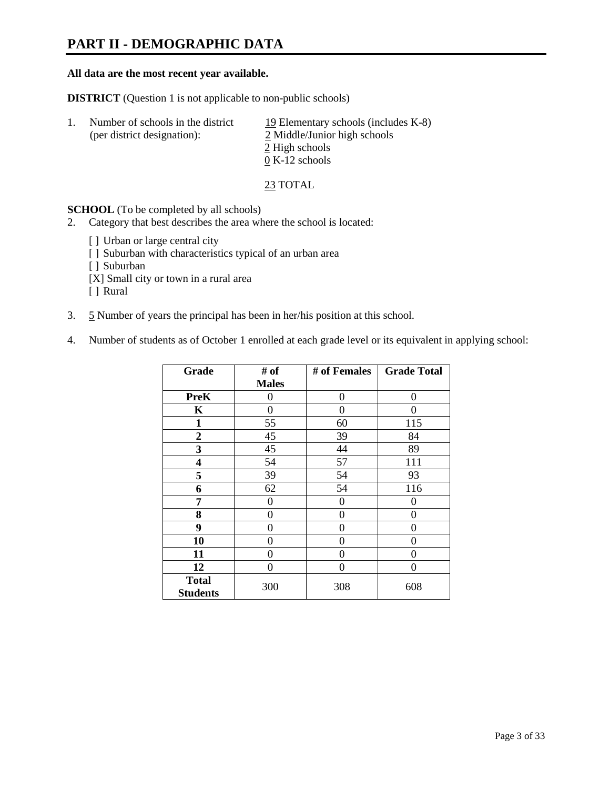## **PART II - DEMOGRAPHIC DATA**

### **All data are the most recent year available.**

**DISTRICT** (Question 1 is not applicable to non-public schools)

| 1. | Number of schools in the district<br>(per district designation): | 19 Elementary schools (includes K-8)<br>2 Middle/Junior high schools<br>2 High schools<br>$0 K-12$ schools |
|----|------------------------------------------------------------------|------------------------------------------------------------------------------------------------------------|
|    |                                                                  |                                                                                                            |

23 TOTAL

**SCHOOL** (To be completed by all schools)

- 2. Category that best describes the area where the school is located:
	- [] Urban or large central city
	- [ ] Suburban with characteristics typical of an urban area
	- [ ] Suburban
	- [X] Small city or town in a rural area
	- [ ] Rural
- 3. 5 Number of years the principal has been in her/his position at this school.
- 4. Number of students as of October 1 enrolled at each grade level or its equivalent in applying school:

| Grade                           | # of         | # of Females | <b>Grade Total</b> |
|---------------------------------|--------------|--------------|--------------------|
|                                 | <b>Males</b> |              |                    |
| <b>PreK</b>                     | 0            | $\theta$     | $\theta$           |
| K                               | 0            | 0            | 0                  |
| 1                               | 55           | 60           | 115                |
| $\boldsymbol{2}$                | 45           | 39           | 84                 |
| 3                               | 45           | 44           | 89                 |
| 4                               | 54           | 57           | 111                |
| 5                               | 39           | 54           | 93                 |
| 6                               | 62           | 54           | 116                |
| 7                               | 0            | 0            | 0                  |
| 8                               | $\theta$     | $\theta$     | 0                  |
| 9                               | $\theta$     | $\theta$     | 0                  |
| 10                              | 0            | 0            | 0                  |
| 11                              | 0            | 0            | 0                  |
| 12                              | 0            | 0            | 0                  |
| <b>Total</b><br><b>Students</b> | 300          | 308          | 608                |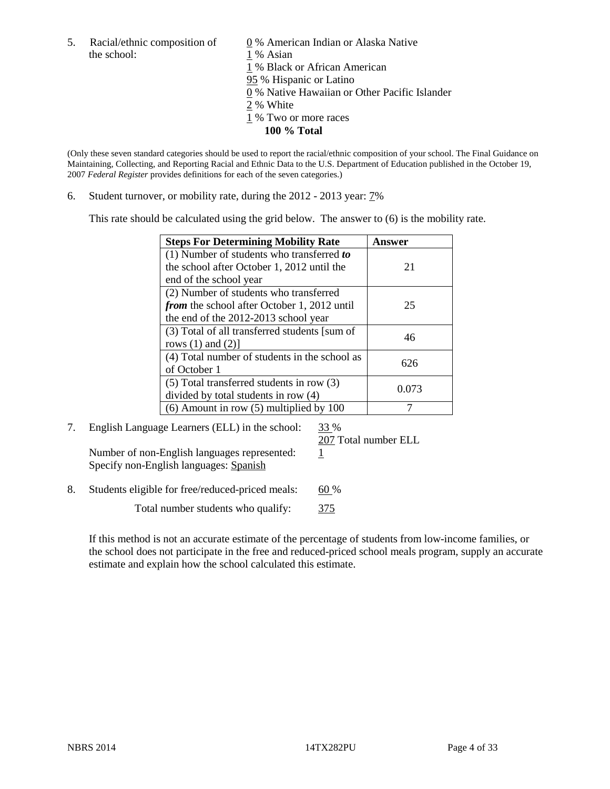the school: 1 % Asian

5. Racial/ethnic composition of  $\qquad \qquad \underline{0}$  % American Indian or Alaska Native 1 % Black or African American 95 % Hispanic or Latino 0 % Native Hawaiian or Other Pacific Islander 2 % White 1 % Two or more races **100 % Total**

(Only these seven standard categories should be used to report the racial/ethnic composition of your school. The Final Guidance on Maintaining, Collecting, and Reporting Racial and Ethnic Data to the U.S. Department of Education published in the October 19, 2007 *Federal Register* provides definitions for each of the seven categories.)

6. Student turnover, or mobility rate, during the 2012 - 2013 year: 7%

This rate should be calculated using the grid below. The answer to (6) is the mobility rate.

| <b>Steps For Determining Mobility Rate</b>         | <b>Answer</b> |
|----------------------------------------------------|---------------|
| (1) Number of students who transferred to          |               |
| the school after October 1, 2012 until the         | 21            |
| end of the school year                             |               |
| (2) Number of students who transferred             |               |
| <i>from</i> the school after October 1, 2012 until | 25            |
| the end of the 2012-2013 school year               |               |
| (3) Total of all transferred students [sum of      | 46            |
| rows $(1)$ and $(2)$ ]                             |               |
| (4) Total number of students in the school as      | 626           |
| of October 1                                       |               |
| (5) Total transferred students in row (3)          | 0.073         |
| divided by total students in row (4)               |               |
| $(6)$ Amount in row $(5)$ multiplied by 100        |               |

7. English Language Learners (ELL) in the school: 33 %

207 Total number ELL

Number of non-English languages represented:  $1$ Specify non-English languages: Spanish

8. Students eligible for free/reduced-priced meals: 60 %

Total number students who qualify:  $\frac{375}{ }$ 

If this method is not an accurate estimate of the percentage of students from low-income families, or the school does not participate in the free and reduced-priced school meals program, supply an accurate estimate and explain how the school calculated this estimate.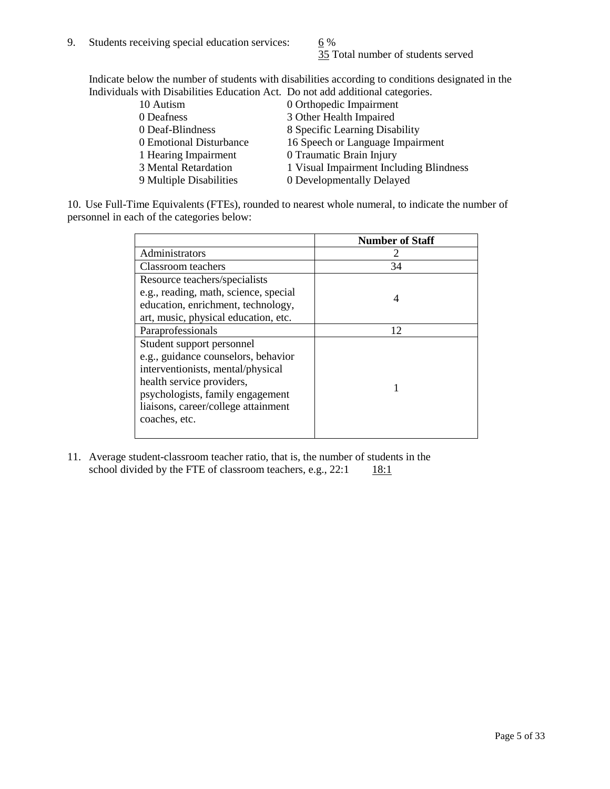35 Total number of students served

Indicate below the number of students with disabilities according to conditions designated in the Individuals with Disabilities Education Act. Do not add additional categories.

| 10 Autism               | 0 Orthopedic Impairment                 |
|-------------------------|-----------------------------------------|
| 0 Deafness              | 3 Other Health Impaired                 |
| 0 Deaf-Blindness        | 8 Specific Learning Disability          |
| 0 Emotional Disturbance | 16 Speech or Language Impairment        |
| 1 Hearing Impairment    | 0 Traumatic Brain Injury                |
| 3 Mental Retardation    | 1 Visual Impairment Including Blindness |
| 9 Multiple Disabilities | 0 Developmentally Delayed               |
|                         |                                         |

10. Use Full-Time Equivalents (FTEs), rounded to nearest whole numeral, to indicate the number of personnel in each of the categories below:

|                                       | <b>Number of Staff</b> |
|---------------------------------------|------------------------|
| Administrators                        |                        |
| Classroom teachers                    | 34                     |
| Resource teachers/specialists         |                        |
| e.g., reading, math, science, special | 4                      |
| education, enrichment, technology,    |                        |
| art, music, physical education, etc.  |                        |
| Paraprofessionals                     | 12                     |
| Student support personnel             |                        |
| e.g., guidance counselors, behavior   |                        |
| interventionists, mental/physical     |                        |
| health service providers,             |                        |
| psychologists, family engagement      |                        |
| liaisons, career/college attainment   |                        |
| coaches, etc.                         |                        |
|                                       |                        |

11. Average student-classroom teacher ratio, that is, the number of students in the school divided by the FTE of classroom teachers, e.g.,  $22:1$  18:1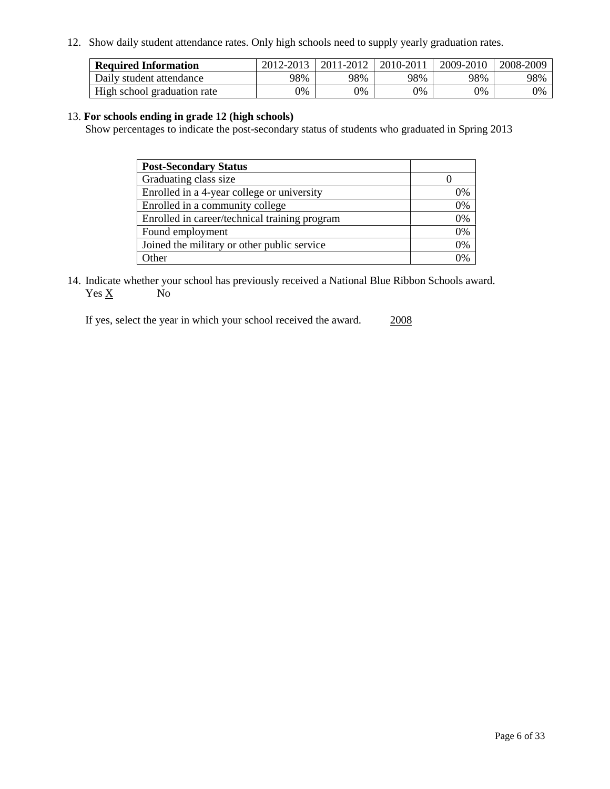12. Show daily student attendance rates. Only high schools need to supply yearly graduation rates.

| <b>Required Information</b> | 2012-2013 | 2011-2012 | 2010-2011 | 2009-2010 | 2008-2009 |
|-----------------------------|-----------|-----------|-----------|-----------|-----------|
| Daily student attendance    | 98%       | 98%       | 98%       | 98%       | 98%       |
| High school graduation rate | 0%        | 9%        | 0%        | 0%        | 0%        |

### 13. **For schools ending in grade 12 (high schools)**

Show percentages to indicate the post-secondary status of students who graduated in Spring 2013

| <b>Post-Secondary Status</b>                  |                |
|-----------------------------------------------|----------------|
| Graduating class size                         |                |
| Enrolled in a 4-year college or university    | 0%             |
| Enrolled in a community college               | 0%             |
| Enrolled in career/technical training program | 0%             |
| Found employment                              | 0%             |
| Joined the military or other public service   | 0%             |
| <b>Other</b>                                  | $\gamma_{0/2}$ |

14. Indicate whether your school has previously received a National Blue Ribbon Schools award.  $Yes \underline{X}$  No

If yes, select the year in which your school received the award. 2008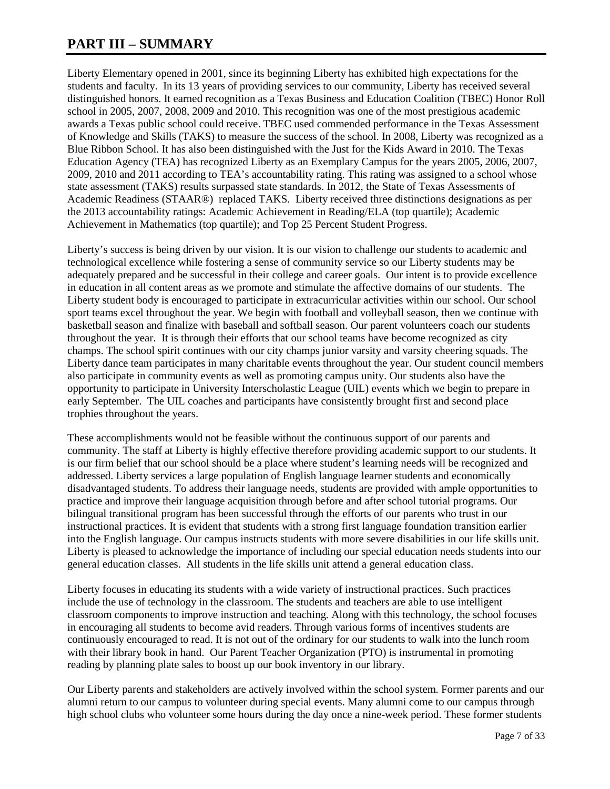## **PART III – SUMMARY**

Liberty Elementary opened in 2001, since its beginning Liberty has exhibited high expectations for the students and faculty. In its 13 years of providing services to our community, Liberty has received several distinguished honors. It earned recognition as a Texas Business and Education Coalition (TBEC) Honor Roll school in 2005, 2007, 2008, 2009 and 2010. This recognition was one of the most prestigious academic awards a Texas public school could receive. TBEC used commended performance in the Texas Assessment of Knowledge and Skills (TAKS) to measure the success of the school. In 2008, Liberty was recognized as a Blue Ribbon School. It has also been distinguished with the Just for the Kids Award in 2010. The Texas Education Agency (TEA) has recognized Liberty as an Exemplary Campus for the years 2005, 2006, 2007, 2009, 2010 and 2011 according to TEA's accountability rating. This rating was assigned to a school whose state assessment (TAKS) results surpassed state standards. In 2012, the State of Texas Assessments of Academic Readiness (STAAR®) replaced TAKS. Liberty received three distinctions designations as per the 2013 accountability ratings: Academic Achievement in Reading/ELA (top quartile); Academic Achievement in Mathematics (top quartile); and Top 25 Percent Student Progress.

Liberty's success is being driven by our vision. It is our vision to challenge our students to academic and technological excellence while fostering a sense of community service so our Liberty students may be adequately prepared and be successful in their college and career goals. Our intent is to provide excellence in education in all content areas as we promote and stimulate the affective domains of our students. The Liberty student body is encouraged to participate in extracurricular activities within our school. Our school sport teams excel throughout the year. We begin with football and volleyball season, then we continue with basketball season and finalize with baseball and softball season. Our parent volunteers coach our students throughout the year. It is through their efforts that our school teams have become recognized as city champs. The school spirit continues with our city champs junior varsity and varsity cheering squads. The Liberty dance team participates in many charitable events throughout the year. Our student council members also participate in community events as well as promoting campus unity. Our students also have the opportunity to participate in University Interscholastic League (UIL) events which we begin to prepare in early September. The UIL coaches and participants have consistently brought first and second place trophies throughout the years.

These accomplishments would not be feasible without the continuous support of our parents and community. The staff at Liberty is highly effective therefore providing academic support to our students. It is our firm belief that our school should be a place where student's learning needs will be recognized and addressed. Liberty services a large population of English language learner students and economically disadvantaged students. To address their language needs, students are provided with ample opportunities to practice and improve their language acquisition through before and after school tutorial programs. Our bilingual transitional program has been successful through the efforts of our parents who trust in our instructional practices. It is evident that students with a strong first language foundation transition earlier into the English language. Our campus instructs students with more severe disabilities in our life skills unit. Liberty is pleased to acknowledge the importance of including our special education needs students into our general education classes. All students in the life skills unit attend a general education class.

Liberty focuses in educating its students with a wide variety of instructional practices. Such practices include the use of technology in the classroom. The students and teachers are able to use intelligent classroom components to improve instruction and teaching. Along with this technology, the school focuses in encouraging all students to become avid readers. Through various forms of incentives students are continuously encouraged to read. It is not out of the ordinary for our students to walk into the lunch room with their library book in hand. Our Parent Teacher Organization (PTO) is instrumental in promoting reading by planning plate sales to boost up our book inventory in our library.

Our Liberty parents and stakeholders are actively involved within the school system. Former parents and our alumni return to our campus to volunteer during special events. Many alumni come to our campus through high school clubs who volunteer some hours during the day once a nine-week period. These former students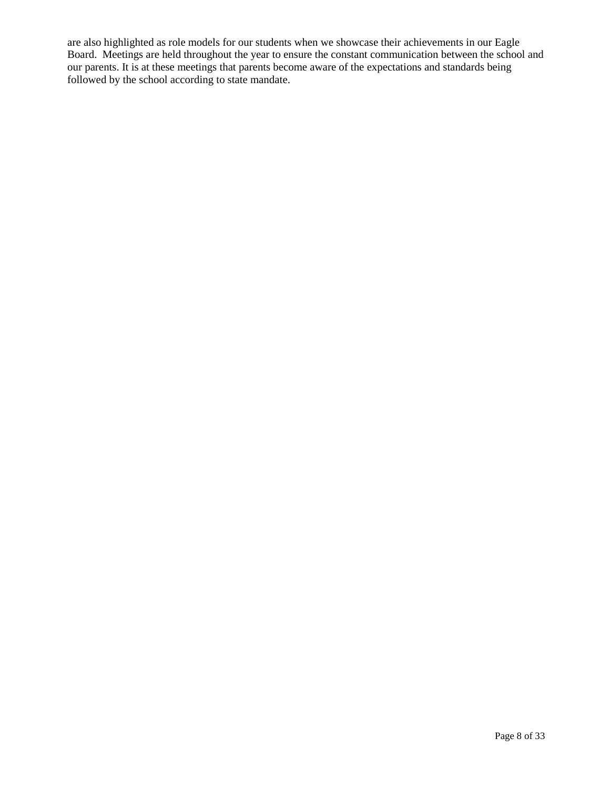are also highlighted as role models for our students when we showcase their achievements in our Eagle Board. Meetings are held throughout the year to ensure the constant communication between the school and our parents. It is at these meetings that parents become aware of the expectations and standards being followed by the school according to state mandate.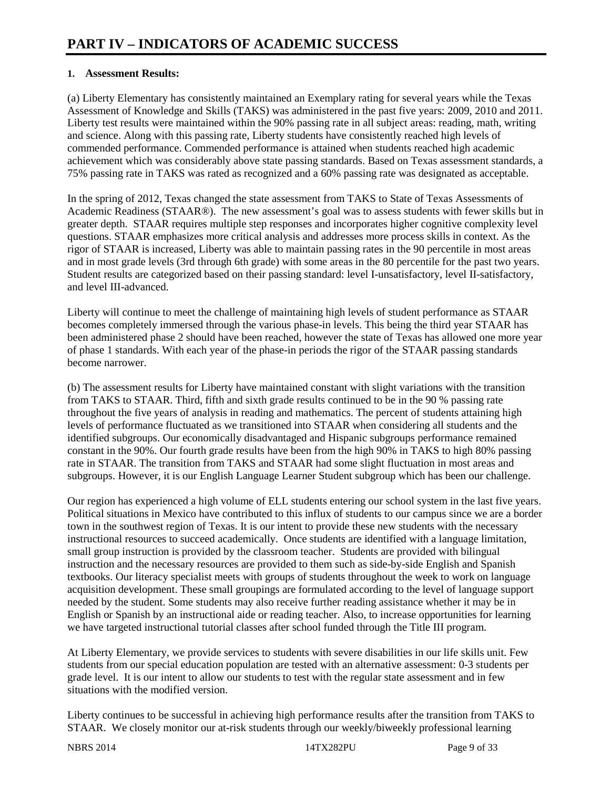### **1. Assessment Results:**

(a) Liberty Elementary has consistently maintained an Exemplary rating for several years while the Texas Assessment of Knowledge and Skills (TAKS) was administered in the past five years: 2009, 2010 and 2011. Liberty test results were maintained within the 90% passing rate in all subject areas: reading, math, writing and science. Along with this passing rate, Liberty students have consistently reached high levels of commended performance. Commended performance is attained when students reached high academic achievement which was considerably above state passing standards. Based on Texas assessment standards, a 75% passing rate in TAKS was rated as recognized and a 60% passing rate was designated as acceptable.

In the spring of 2012, Texas changed the state assessment from TAKS to State of Texas Assessments of Academic Readiness (STAAR®). The new assessment's goal was to assess students with fewer skills but in greater depth. STAAR requires multiple step responses and incorporates higher cognitive complexity level questions. STAAR emphasizes more critical analysis and addresses more process skills in context. As the rigor of STAAR is increased, Liberty was able to maintain passing rates in the 90 percentile in most areas and in most grade levels (3rd through 6th grade) with some areas in the 80 percentile for the past two years. Student results are categorized based on their passing standard: level I-unsatisfactory, level II-satisfactory, and level III-advanced.

Liberty will continue to meet the challenge of maintaining high levels of student performance as STAAR becomes completely immersed through the various phase-in levels. This being the third year STAAR has been administered phase 2 should have been reached, however the state of Texas has allowed one more year of phase 1 standards. With each year of the phase-in periods the rigor of the STAAR passing standards become narrower.

(b) The assessment results for Liberty have maintained constant with slight variations with the transition from TAKS to STAAR. Third, fifth and sixth grade results continued to be in the 90 % passing rate throughout the five years of analysis in reading and mathematics. The percent of students attaining high levels of performance fluctuated as we transitioned into STAAR when considering all students and the identified subgroups. Our economically disadvantaged and Hispanic subgroups performance remained constant in the 90%. Our fourth grade results have been from the high 90% in TAKS to high 80% passing rate in STAAR. The transition from TAKS and STAAR had some slight fluctuation in most areas and subgroups. However, it is our English Language Learner Student subgroup which has been our challenge.

Our region has experienced a high volume of ELL students entering our school system in the last five years. Political situations in Mexico have contributed to this influx of students to our campus since we are a border town in the southwest region of Texas. It is our intent to provide these new students with the necessary instructional resources to succeed academically. Once students are identified with a language limitation, small group instruction is provided by the classroom teacher. Students are provided with bilingual instruction and the necessary resources are provided to them such as side-by-side English and Spanish textbooks. Our literacy specialist meets with groups of students throughout the week to work on language acquisition development. These small groupings are formulated according to the level of language support needed by the student. Some students may also receive further reading assistance whether it may be in English or Spanish by an instructional aide or reading teacher. Also, to increase opportunities for learning we have targeted instructional tutorial classes after school funded through the Title III program.

At Liberty Elementary, we provide services to students with severe disabilities in our life skills unit. Few students from our special education population are tested with an alternative assessment: 0-3 students per grade level. It is our intent to allow our students to test with the regular state assessment and in few situations with the modified version.

Liberty continues to be successful in achieving high performance results after the transition from TAKS to STAAR. We closely monitor our at-risk students through our weekly/biweekly professional learning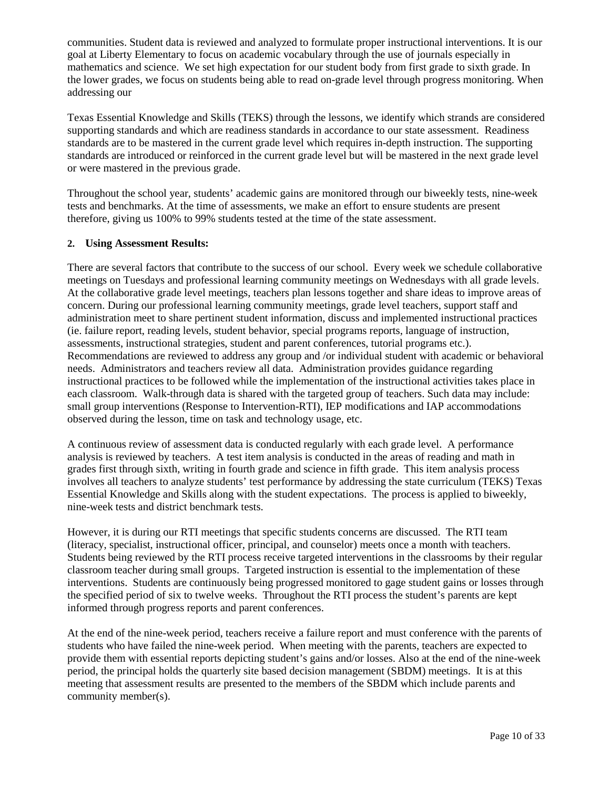communities. Student data is reviewed and analyzed to formulate proper instructional interventions. It is our goal at Liberty Elementary to focus on academic vocabulary through the use of journals especially in mathematics and science. We set high expectation for our student body from first grade to sixth grade. In the lower grades, we focus on students being able to read on-grade level through progress monitoring. When addressing our

Texas Essential Knowledge and Skills (TEKS) through the lessons, we identify which strands are considered supporting standards and which are readiness standards in accordance to our state assessment. Readiness standards are to be mastered in the current grade level which requires in-depth instruction. The supporting standards are introduced or reinforced in the current grade level but will be mastered in the next grade level or were mastered in the previous grade.

Throughout the school year, students' academic gains are monitored through our biweekly tests, nine-week tests and benchmarks. At the time of assessments, we make an effort to ensure students are present therefore, giving us 100% to 99% students tested at the time of the state assessment.

### **2. Using Assessment Results:**

There are several factors that contribute to the success of our school. Every week we schedule collaborative meetings on Tuesdays and professional learning community meetings on Wednesdays with all grade levels. At the collaborative grade level meetings, teachers plan lessons together and share ideas to improve areas of concern. During our professional learning community meetings, grade level teachers, support staff and administration meet to share pertinent student information, discuss and implemented instructional practices (ie. failure report, reading levels, student behavior, special programs reports, language of instruction, assessments, instructional strategies, student and parent conferences, tutorial programs etc.). Recommendations are reviewed to address any group and /or individual student with academic or behavioral needs. Administrators and teachers review all data. Administration provides guidance regarding instructional practices to be followed while the implementation of the instructional activities takes place in each classroom. Walk-through data is shared with the targeted group of teachers. Such data may include: small group interventions (Response to Intervention-RTI), IEP modifications and IAP accommodations observed during the lesson, time on task and technology usage, etc.

A continuous review of assessment data is conducted regularly with each grade level. A performance analysis is reviewed by teachers. A test item analysis is conducted in the areas of reading and math in grades first through sixth, writing in fourth grade and science in fifth grade. This item analysis process involves all teachers to analyze students' test performance by addressing the state curriculum (TEKS) Texas Essential Knowledge and Skills along with the student expectations. The process is applied to biweekly, nine-week tests and district benchmark tests.

However, it is during our RTI meetings that specific students concerns are discussed. The RTI team (literacy, specialist, instructional officer, principal, and counselor) meets once a month with teachers. Students being reviewed by the RTI process receive targeted interventions in the classrooms by their regular classroom teacher during small groups. Targeted instruction is essential to the implementation of these interventions. Students are continuously being progressed monitored to gage student gains or losses through the specified period of six to twelve weeks. Throughout the RTI process the student's parents are kept informed through progress reports and parent conferences.

At the end of the nine-week period, teachers receive a failure report and must conference with the parents of students who have failed the nine-week period. When meeting with the parents, teachers are expected to provide them with essential reports depicting student's gains and/or losses. Also at the end of the nine-week period, the principal holds the quarterly site based decision management (SBDM) meetings. It is at this meeting that assessment results are presented to the members of the SBDM which include parents and community member(s).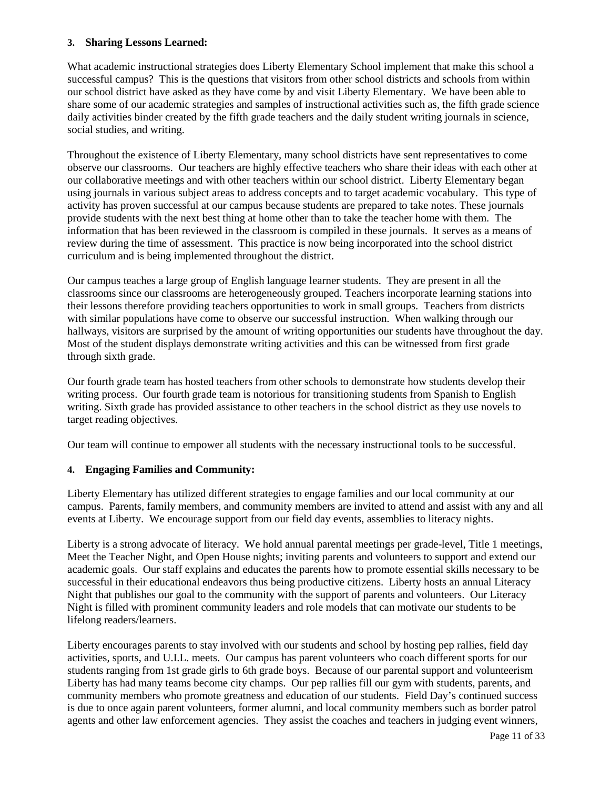### **3. Sharing Lessons Learned:**

What academic instructional strategies does Liberty Elementary School implement that make this school a successful campus? This is the questions that visitors from other school districts and schools from within our school district have asked as they have come by and visit Liberty Elementary. We have been able to share some of our academic strategies and samples of instructional activities such as, the fifth grade science daily activities binder created by the fifth grade teachers and the daily student writing journals in science, social studies, and writing.

Throughout the existence of Liberty Elementary, many school districts have sent representatives to come observe our classrooms. Our teachers are highly effective teachers who share their ideas with each other at our collaborative meetings and with other teachers within our school district. Liberty Elementary began using journals in various subject areas to address concepts and to target academic vocabulary. This type of activity has proven successful at our campus because students are prepared to take notes. These journals provide students with the next best thing at home other than to take the teacher home with them. The information that has been reviewed in the classroom is compiled in these journals. It serves as a means of review during the time of assessment. This practice is now being incorporated into the school district curriculum and is being implemented throughout the district.

Our campus teaches a large group of English language learner students. They are present in all the classrooms since our classrooms are heterogeneously grouped. Teachers incorporate learning stations into their lessons therefore providing teachers opportunities to work in small groups. Teachers from districts with similar populations have come to observe our successful instruction. When walking through our hallways, visitors are surprised by the amount of writing opportunities our students have throughout the day. Most of the student displays demonstrate writing activities and this can be witnessed from first grade through sixth grade.

Our fourth grade team has hosted teachers from other schools to demonstrate how students develop their writing process. Our fourth grade team is notorious for transitioning students from Spanish to English writing. Sixth grade has provided assistance to other teachers in the school district as they use novels to target reading objectives.

Our team will continue to empower all students with the necessary instructional tools to be successful.

### **4. Engaging Families and Community:**

Liberty Elementary has utilized different strategies to engage families and our local community at our campus. Parents, family members, and community members are invited to attend and assist with any and all events at Liberty. We encourage support from our field day events, assemblies to literacy nights.

Liberty is a strong advocate of literacy. We hold annual parental meetings per grade-level, Title 1 meetings, Meet the Teacher Night, and Open House nights; inviting parents and volunteers to support and extend our academic goals. Our staff explains and educates the parents how to promote essential skills necessary to be successful in their educational endeavors thus being productive citizens. Liberty hosts an annual Literacy Night that publishes our goal to the community with the support of parents and volunteers. Our Literacy Night is filled with prominent community leaders and role models that can motivate our students to be lifelong readers/learners.

Liberty encourages parents to stay involved with our students and school by hosting pep rallies, field day activities, sports, and U.I.L. meets. Our campus has parent volunteers who coach different sports for our students ranging from 1st grade girls to 6th grade boys. Because of our parental support and volunteerism Liberty has had many teams become city champs. Our pep rallies fill our gym with students, parents, and community members who promote greatness and education of our students. Field Day's continued success is due to once again parent volunteers, former alumni, and local community members such as border patrol agents and other law enforcement agencies. They assist the coaches and teachers in judging event winners,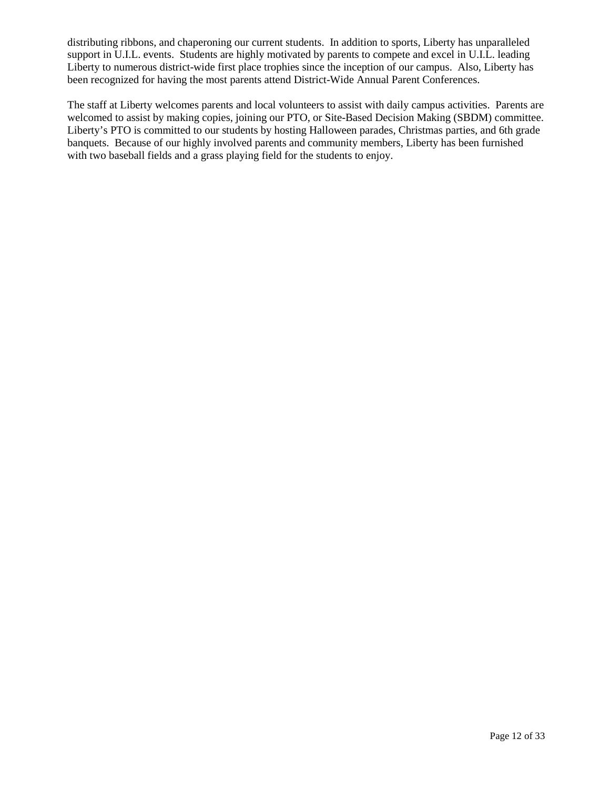distributing ribbons, and chaperoning our current students. In addition to sports, Liberty has unparalleled support in U.I.L. events. Students are highly motivated by parents to compete and excel in U.I.L. leading Liberty to numerous district-wide first place trophies since the inception of our campus. Also, Liberty has been recognized for having the most parents attend District-Wide Annual Parent Conferences.

The staff at Liberty welcomes parents and local volunteers to assist with daily campus activities. Parents are welcomed to assist by making copies, joining our PTO, or Site-Based Decision Making (SBDM) committee. Liberty's PTO is committed to our students by hosting Halloween parades, Christmas parties, and 6th grade banquets. Because of our highly involved parents and community members, Liberty has been furnished with two baseball fields and a grass playing field for the students to enjoy.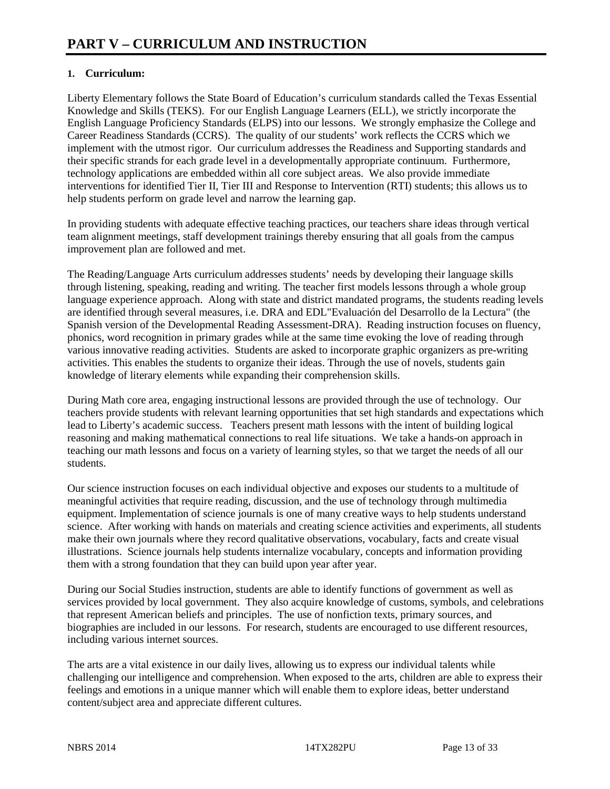### **1. Curriculum:**

Liberty Elementary follows the State Board of Education's curriculum standards called the Texas Essential Knowledge and Skills (TEKS). For our English Language Learners (ELL), we strictly incorporate the English Language Proficiency Standards (ELPS) into our lessons. We strongly emphasize the College and Career Readiness Standards (CCRS). The quality of our students' work reflects the CCRS which we implement with the utmost rigor. Our curriculum addresses the Readiness and Supporting standards and their specific strands for each grade level in a developmentally appropriate continuum. Furthermore, technology applications are embedded within all core subject areas. We also provide immediate interventions for identified Tier II, Tier III and Response to Intervention (RTI) students; this allows us to help students perform on grade level and narrow the learning gap.

In providing students with adequate effective teaching practices, our teachers share ideas through vertical team alignment meetings, staff development trainings thereby ensuring that all goals from the campus improvement plan are followed and met.

The Reading/Language Arts curriculum addresses students' needs by developing their language skills through listening, speaking, reading and writing. The teacher first models lessons through a whole group language experience approach. Along with state and district mandated programs, the students reading levels are identified through several measures, i.e. DRA and EDL"Evaluación del Desarrollo de la Lectura" (the Spanish version of the Developmental Reading Assessment-DRA). Reading instruction focuses on fluency, phonics, word recognition in primary grades while at the same time evoking the love of reading through various innovative reading activities. Students are asked to incorporate graphic organizers as pre-writing activities. This enables the students to organize their ideas. Through the use of novels, students gain knowledge of literary elements while expanding their comprehension skills.

During Math core area, engaging instructional lessons are provided through the use of technology. Our teachers provide students with relevant learning opportunities that set high standards and expectations which lead to Liberty's academic success. Teachers present math lessons with the intent of building logical reasoning and making mathematical connections to real life situations. We take a hands-on approach in teaching our math lessons and focus on a variety of learning styles, so that we target the needs of all our students.

Our science instruction focuses on each individual objective and exposes our students to a multitude of meaningful activities that require reading, discussion, and the use of technology through multimedia equipment. Implementation of science journals is one of many creative ways to help students understand science. After working with hands on materials and creating science activities and experiments, all students make their own journals where they record qualitative observations, vocabulary, facts and create visual illustrations. Science journals help students internalize vocabulary, concepts and information providing them with a strong foundation that they can build upon year after year.

During our Social Studies instruction, students are able to identify functions of government as well as services provided by local government. They also acquire knowledge of customs, symbols, and celebrations that represent American beliefs and principles. The use of nonfiction texts, primary sources, and biographies are included in our lessons. For research, students are encouraged to use different resources, including various internet sources.

The arts are a vital existence in our daily lives, allowing us to express our individual talents while challenging our intelligence and comprehension. When exposed to the arts, children are able to express their feelings and emotions in a unique manner which will enable them to explore ideas, better understand content/subject area and appreciate different cultures.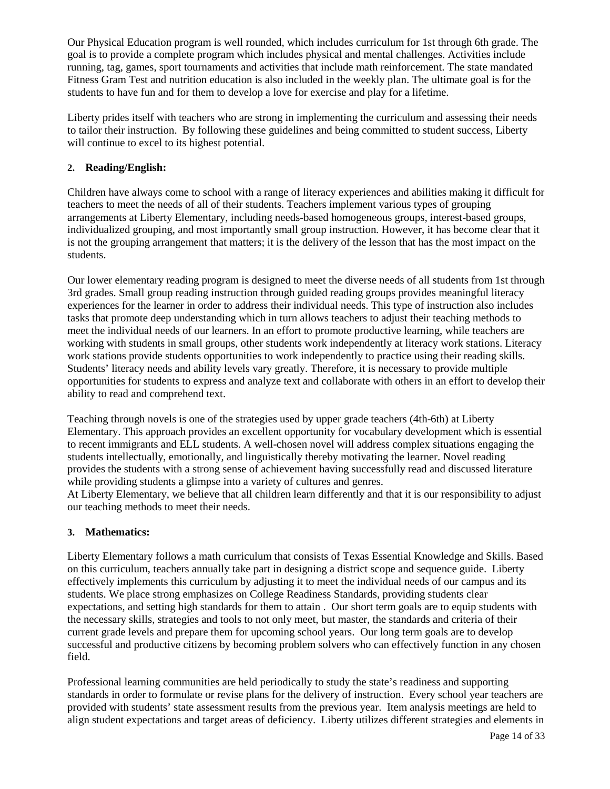Our Physical Education program is well rounded, which includes curriculum for 1st through 6th grade. The goal is to provide a complete program which includes physical and mental challenges. Activities include running, tag, games, sport tournaments and activities that include math reinforcement. The state mandated Fitness Gram Test and nutrition education is also included in the weekly plan. The ultimate goal is for the students to have fun and for them to develop a love for exercise and play for a lifetime.

Liberty prides itself with teachers who are strong in implementing the curriculum and assessing their needs to tailor their instruction. By following these guidelines and being committed to student success, Liberty will continue to excel to its highest potential.

### **2. Reading/English:**

Children have always come to school with a range of literacy experiences and abilities making it difficult for teachers to meet the needs of all of their students. Teachers implement various types of grouping arrangements at Liberty Elementary, including needs-based homogeneous groups, interest-based groups, individualized grouping, and most importantly small group instruction. However, it has become clear that it is not the grouping arrangement that matters; it is the delivery of the lesson that has the most impact on the students.

Our lower elementary reading program is designed to meet the diverse needs of all students from 1st through 3rd grades. Small group reading instruction through guided reading groups provides meaningful literacy experiences for the learner in order to address their individual needs. This type of instruction also includes tasks that promote deep understanding which in turn allows teachers to adjust their teaching methods to meet the individual needs of our learners. In an effort to promote productive learning, while teachers are working with students in small groups, other students work independently at literacy work stations. Literacy work stations provide students opportunities to work independently to practice using their reading skills. Students' literacy needs and ability levels vary greatly. Therefore, it is necessary to provide multiple opportunities for students to express and analyze text and collaborate with others in an effort to develop their ability to read and comprehend text.

Teaching through novels is one of the strategies used by upper grade teachers (4th-6th) at Liberty Elementary. This approach provides an excellent opportunity for vocabulary development which is essential to recent immigrants and ELL students. A well-chosen novel will address complex situations engaging the students intellectually, emotionally, and linguistically thereby motivating the learner. Novel reading provides the students with a strong sense of achievement having successfully read and discussed literature while providing students a glimpse into a variety of cultures and genres.

At Liberty Elementary, we believe that all children learn differently and that it is our responsibility to adjust our teaching methods to meet their needs.

### **3. Mathematics:**

Liberty Elementary follows a math curriculum that consists of Texas Essential Knowledge and Skills. Based on this curriculum, teachers annually take part in designing a district scope and sequence guide. Liberty effectively implements this curriculum by adjusting it to meet the individual needs of our campus and its students. We place strong emphasizes on College Readiness Standards, providing students clear expectations, and setting high standards for them to attain . Our short term goals are to equip students with the necessary skills, strategies and tools to not only meet, but master, the standards and criteria of their current grade levels and prepare them for upcoming school years. Our long term goals are to develop successful and productive citizens by becoming problem solvers who can effectively function in any chosen field.

Professional learning communities are held periodically to study the state's readiness and supporting standards in order to formulate or revise plans for the delivery of instruction. Every school year teachers are provided with students' state assessment results from the previous year. Item analysis meetings are held to align student expectations and target areas of deficiency. Liberty utilizes different strategies and elements in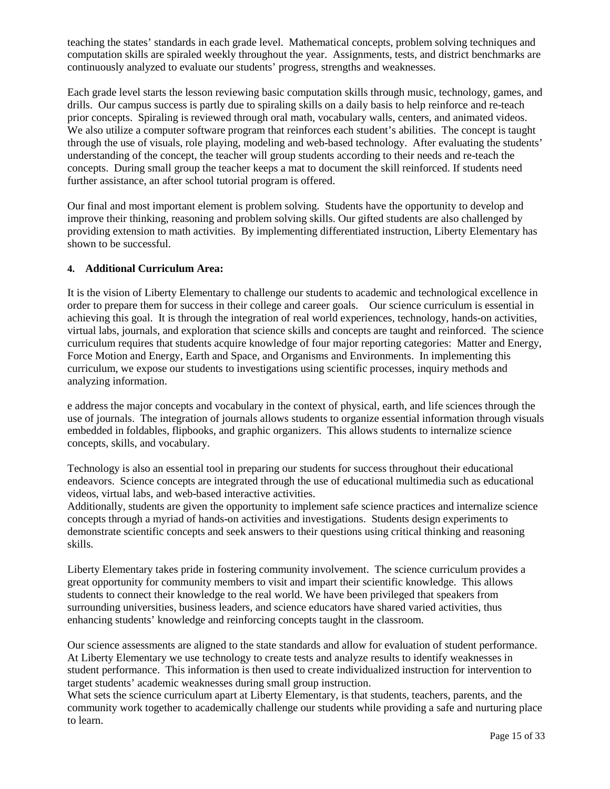teaching the states' standards in each grade level. Mathematical concepts, problem solving techniques and computation skills are spiraled weekly throughout the year. Assignments, tests, and district benchmarks are continuously analyzed to evaluate our students' progress, strengths and weaknesses.

Each grade level starts the lesson reviewing basic computation skills through music, technology, games, and drills. Our campus success is partly due to spiraling skills on a daily basis to help reinforce and re-teach prior concepts. Spiraling is reviewed through oral math, vocabulary walls, centers, and animated videos. We also utilize a computer software program that reinforces each student's abilities. The concept is taught through the use of visuals, role playing, modeling and web-based technology. After evaluating the students' understanding of the concept, the teacher will group students according to their needs and re-teach the concepts. During small group the teacher keeps a mat to document the skill reinforced. If students need further assistance, an after school tutorial program is offered.

Our final and most important element is problem solving. Students have the opportunity to develop and improve their thinking, reasoning and problem solving skills. Our gifted students are also challenged by providing extension to math activities. By implementing differentiated instruction, Liberty Elementary has shown to be successful.

### **4. Additional Curriculum Area:**

It is the vision of Liberty Elementary to challenge our students to academic and technological excellence in order to prepare them for success in their college and career goals. Our science curriculum is essential in achieving this goal. It is through the integration of real world experiences, technology, hands-on activities, virtual labs, journals, and exploration that science skills and concepts are taught and reinforced. The science curriculum requires that students acquire knowledge of four major reporting categories: Matter and Energy, Force Motion and Energy, Earth and Space, and Organisms and Environments. In implementing this curriculum, we expose our students to investigations using scientific processes, inquiry methods and analyzing information.

e address the major concepts and vocabulary in the context of physical, earth, and life sciences through the use of journals. The integration of journals allows students to organize essential information through visuals embedded in foldables, flipbooks, and graphic organizers. This allows students to internalize science concepts, skills, and vocabulary.

Technology is also an essential tool in preparing our students for success throughout their educational endeavors. Science concepts are integrated through the use of educational multimedia such as educational videos, virtual labs, and web-based interactive activities.

Additionally, students are given the opportunity to implement safe science practices and internalize science concepts through a myriad of hands-on activities and investigations. Students design experiments to demonstrate scientific concepts and seek answers to their questions using critical thinking and reasoning skills.

Liberty Elementary takes pride in fostering community involvement. The science curriculum provides a great opportunity for community members to visit and impart their scientific knowledge. This allows students to connect their knowledge to the real world. We have been privileged that speakers from surrounding universities, business leaders, and science educators have shared varied activities, thus enhancing students' knowledge and reinforcing concepts taught in the classroom.

Our science assessments are aligned to the state standards and allow for evaluation of student performance. At Liberty Elementary we use technology to create tests and analyze results to identify weaknesses in student performance. This information is then used to create individualized instruction for intervention to target students' academic weaknesses during small group instruction.

What sets the science curriculum apart at Liberty Elementary, is that students, teachers, parents, and the community work together to academically challenge our students while providing a safe and nurturing place to learn.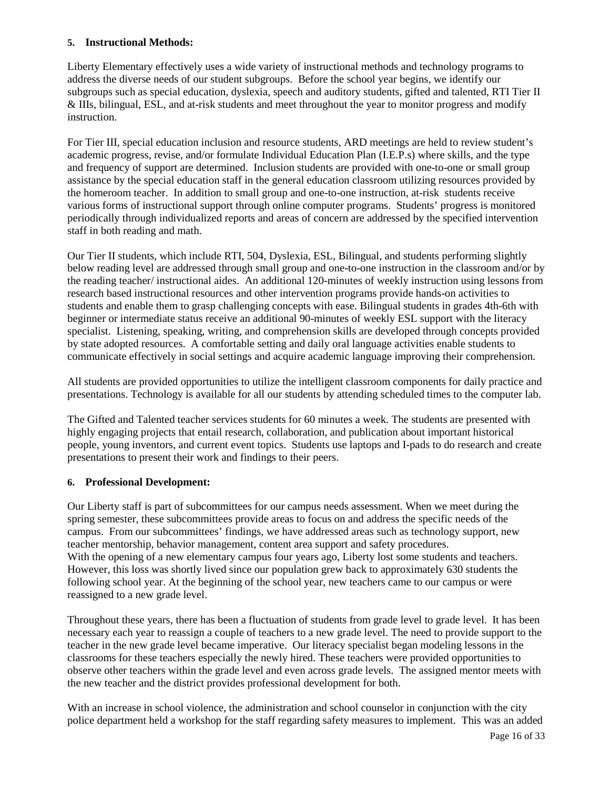### **5. Instructional Methods:**

Liberty Elementary effectively uses a wide variety of instructional methods and technology programs to address the diverse needs of our student subgroups. Before the school year begins, we identify our subgroups such as special education, dyslexia, speech and auditory students, gifted and talented, RTI Tier II & IIIs, bilingual, ESL, and at-risk students and meet throughout the year to monitor progress and modify instruction.

For Tier III, special education inclusion and resource students, ARD meetings are held to review student's academic progress, revise, and/or formulate Individual Education Plan (I.E.P.s) where skills, and the type and frequency of support are determined. Inclusion students are provided with one-to-one or small group assistance by the special education staff in the general education classroom utilizing resources provided by the homeroom teacher. In addition to small group and one-to-one instruction, at-risk students receive various forms of instructional support through online computer programs. Students' progress is monitored periodically through individualized reports and areas of concern are addressed by the specified intervention staff in both reading and math.

Our Tier II students, which include RTI, 504, Dyslexia, ESL, Bilingual, and students performing slightly below reading level are addressed through small group and one-to-one instruction in the classroom and/or by the reading teacher/ instructional aides. An additional 120-minutes of weekly instruction using lessons from research based instructional resources and other intervention programs provide hands-on activities to students and enable them to grasp challenging concepts with ease. Bilingual students in grades 4th-6th with beginner or intermediate status receive an additional 90-minutes of weekly ESL support with the literacy specialist. Listening, speaking, writing, and comprehension skills are developed through concepts provided by state adopted resources. A comfortable setting and daily oral language activities enable students to communicate effectively in social settings and acquire academic language improving their comprehension.

All students are provided opportunities to utilize the intelligent classroom components for daily practice and presentations. Technology is available for all our students by attending scheduled times to the computer lab.

The Gifted and Talented teacher services students for 60 minutes a week. The students are presented with highly engaging projects that entail research, collaboration, and publication about important historical people, young inventors, and current event topics. Students use laptops and I-pads to do research and create presentations to present their work and findings to their peers.

### **6. Professional Development:**

Our Liberty staff is part of subcommittees for our campus needs assessment. When we meet during the spring semester, these subcommittees provide areas to focus on and address the specific needs of the campus. From our subcommittees' findings, we have addressed areas such as technology support, new teacher mentorship, behavior management, content area support and safety procedures. With the opening of a new elementary campus four years ago, Liberty lost some students and teachers. However, this loss was shortly lived since our population grew back to approximately 630 students the following school year. At the beginning of the school year, new teachers came to our campus or were reassigned to a new grade level.

Throughout these years, there has been a fluctuation of students from grade level to grade level. It has been necessary each year to reassign a couple of teachers to a new grade level. The need to provide support to the teacher in the new grade level became imperative. Our literacy specialist began modeling lessons in the classrooms for these teachers especially the newly hired. These teachers were provided opportunities to observe other teachers within the grade level and even across grade levels. The assigned mentor meets with the new teacher and the district provides professional development for both.

With an increase in school violence, the administration and school counselor in conjunction with the city police department held a workshop for the staff regarding safety measures to implement. This was an added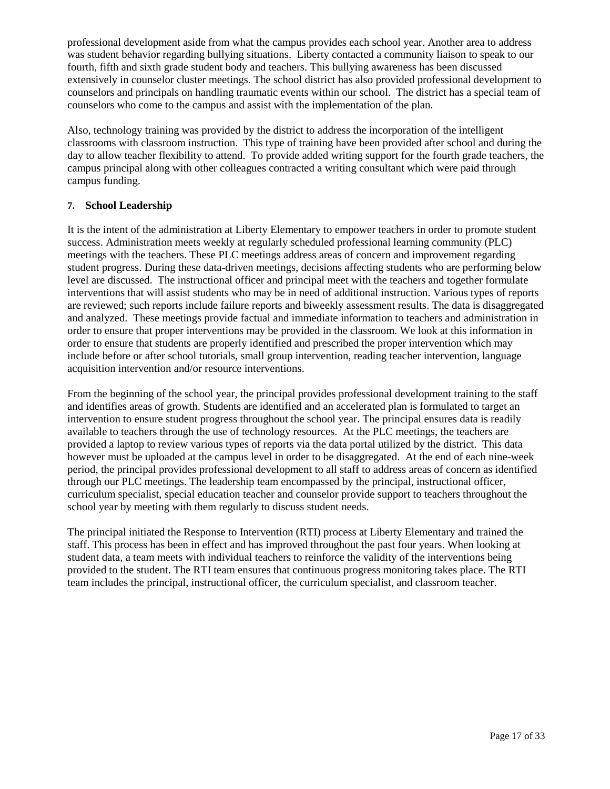professional development aside from what the campus provides each school year. Another area to address was student behavior regarding bullying situations. Liberty contacted a community liaison to speak to our fourth, fifth and sixth grade student body and teachers. This bullying awareness has been discussed extensively in counselor cluster meetings. The school district has also provided professional development to counselors and principals on handling traumatic events within our school. The district has a special team of counselors who come to the campus and assist with the implementation of the plan.

Also, technology training was provided by the district to address the incorporation of the intelligent classrooms with classroom instruction. This type of training have been provided after school and during the day to allow teacher flexibility to attend. To provide added writing support for the fourth grade teachers, the campus principal along with other colleagues contracted a writing consultant which were paid through campus funding.

### **7. School Leadership**

It is the intent of the administration at Liberty Elementary to empower teachers in order to promote student success. Administration meets weekly at regularly scheduled professional learning community (PLC) meetings with the teachers. These PLC meetings address areas of concern and improvement regarding student progress. During these data-driven meetings, decisions affecting students who are performing below level are discussed. The instructional officer and principal meet with the teachers and together formulate interventions that will assist students who may be in need of additional instruction. Various types of reports are reviewed; such reports include failure reports and biweekly assessment results. The data is disaggregated and analyzed. These meetings provide factual and immediate information to teachers and administration in order to ensure that proper interventions may be provided in the classroom. We look at this information in order to ensure that students are properly identified and prescribed the proper intervention which may include before or after school tutorials, small group intervention, reading teacher intervention, language acquisition intervention and/or resource interventions.

From the beginning of the school year, the principal provides professional development training to the staff and identifies areas of growth. Students are identified and an accelerated plan is formulated to target an intervention to ensure student progress throughout the school year. The principal ensures data is readily available to teachers through the use of technology resources. At the PLC meetings, the teachers are provided a laptop to review various types of reports via the data portal utilized by the district. This data however must be uploaded at the campus level in order to be disaggregated. At the end of each nine-week period, the principal provides professional development to all staff to address areas of concern as identified through our PLC meetings. The leadership team encompassed by the principal, instructional officer, curriculum specialist, special education teacher and counselor provide support to teachers throughout the school year by meeting with them regularly to discuss student needs.

The principal initiated the Response to Intervention (RTI) process at Liberty Elementary and trained the staff. This process has been in effect and has improved throughout the past four years. When looking at student data, a team meets with individual teachers to reinforce the validity of the interventions being provided to the student. The RTI team ensures that continuous progress monitoring takes place. The RTI team includes the principal, instructional officer, the curriculum specialist, and classroom teacher.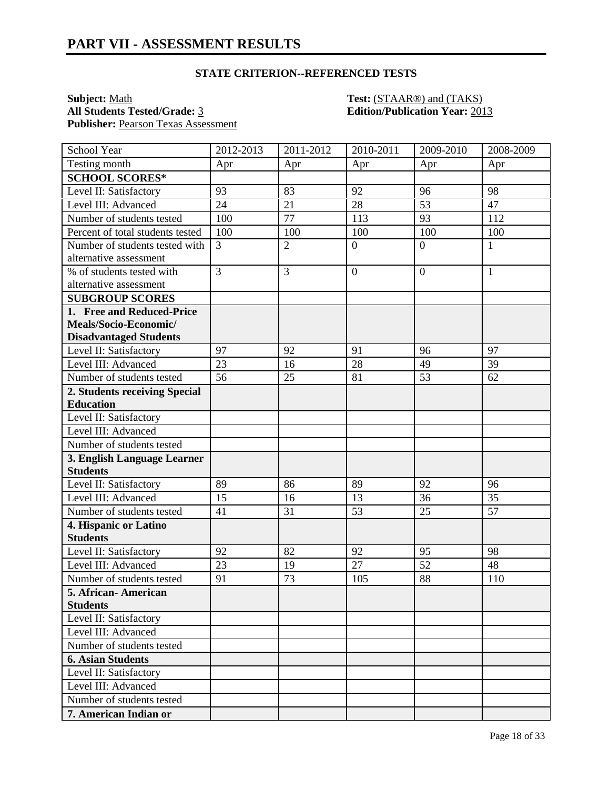**Subject:** <u>Math **Test:** (STAAR®) and (TAKS)</u><br> **All Students Tested/Grade:** 3 **Containers Edition/Publication Year:** 201 Publisher: Pearson Texas Assessment

# **All Students Tested/Grade:** 3 **Edition/Publication Year:** 2013

| School Year                      | 2012-2013      | 2011-2012      | 2010-2011      | 2009-2010       | 2008-2009    |
|----------------------------------|----------------|----------------|----------------|-----------------|--------------|
| Testing month                    | Apr            | Apr            | Apr            | Apr             | Apr          |
| <b>SCHOOL SCORES*</b>            |                |                |                |                 |              |
| Level II: Satisfactory           | 93             | 83             | 92             | 96              | 98           |
| Level III: Advanced              | 24             | 21             | 28             | $\overline{53}$ | 47           |
| Number of students tested        | 100            | 77             | 113            | 93              | 112          |
| Percent of total students tested | 100            | 100            | 100            | 100             | 100          |
| Number of students tested with   | $\overline{3}$ | $\overline{2}$ | $\overline{0}$ | $\overline{0}$  | $\mathbf{1}$ |
| alternative assessment           |                |                |                |                 |              |
| % of students tested with        | $\overline{3}$ | 3              | $\mathbf{0}$   | $\theta$        | $\mathbf{1}$ |
| alternative assessment           |                |                |                |                 |              |
| <b>SUBGROUP SCORES</b>           |                |                |                |                 |              |
| 1. Free and Reduced-Price        |                |                |                |                 |              |
| Meals/Socio-Economic/            |                |                |                |                 |              |
| <b>Disadvantaged Students</b>    |                |                |                |                 |              |
| Level II: Satisfactory           | 97             | 92             | 91             | 96              | 97           |
| Level III: Advanced              | 23             | 16             | 28             | 49              | 39           |
| Number of students tested        | 56             | 25             | 81             | 53              | 62           |
| 2. Students receiving Special    |                |                |                |                 |              |
| <b>Education</b>                 |                |                |                |                 |              |
| Level II: Satisfactory           |                |                |                |                 |              |
| Level III: Advanced              |                |                |                |                 |              |
| Number of students tested        |                |                |                |                 |              |
| 3. English Language Learner      |                |                |                |                 |              |
| <b>Students</b>                  |                |                |                |                 |              |
| Level II: Satisfactory           | 89             | 86             | 89             | 92              | 96           |
| Level III: Advanced              | 15             | 16             | 13             | 36              | 35           |
| Number of students tested        | 41             | 31             | 53             | 25              | 57           |
| 4. Hispanic or Latino            |                |                |                |                 |              |
| <b>Students</b>                  |                |                |                |                 |              |
| Level II: Satisfactory           | 92             | 82             | 92             | 95              | 98           |
| Level III: Advanced              | 23             | 19             | 27             | 52              | 48           |
| Number of students tested        | 91             | 73             | 105            | 88              | 110          |
| 5. African-American              |                |                |                |                 |              |
| <b>Students</b>                  |                |                |                |                 |              |
| Level II: Satisfactory           |                |                |                |                 |              |
| Level III: Advanced              |                |                |                |                 |              |
| Number of students tested        |                |                |                |                 |              |
| <b>6. Asian Students</b>         |                |                |                |                 |              |
| Level II: Satisfactory           |                |                |                |                 |              |
| Level III: Advanced              |                |                |                |                 |              |
| Number of students tested        |                |                |                |                 |              |
| 7. American Indian or            |                |                |                |                 |              |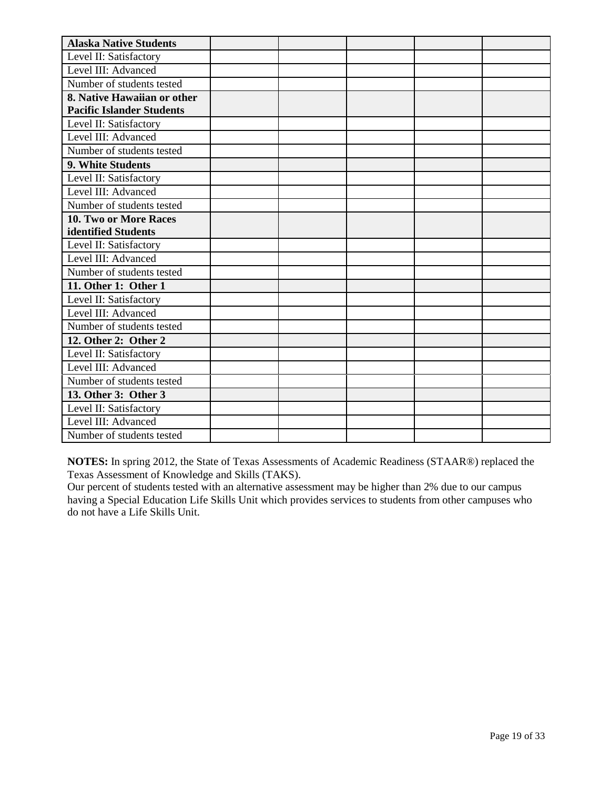| <b>Alaska Native Students</b>    |  |  |  |
|----------------------------------|--|--|--|
| Level II: Satisfactory           |  |  |  |
| Level III: Advanced              |  |  |  |
| Number of students tested        |  |  |  |
| 8. Native Hawaiian or other      |  |  |  |
| <b>Pacific Islander Students</b> |  |  |  |
| Level II: Satisfactory           |  |  |  |
| Level III: Advanced              |  |  |  |
| Number of students tested        |  |  |  |
| 9. White Students                |  |  |  |
| Level II: Satisfactory           |  |  |  |
| Level III: Advanced              |  |  |  |
| Number of students tested        |  |  |  |
| <b>10. Two or More Races</b>     |  |  |  |
| identified Students              |  |  |  |
| Level II: Satisfactory           |  |  |  |
| Level III: Advanced              |  |  |  |
| Number of students tested        |  |  |  |
| 11. Other 1: Other 1             |  |  |  |
| Level II: Satisfactory           |  |  |  |
| Level III: Advanced              |  |  |  |
| Number of students tested        |  |  |  |
| 12. Other 2: Other 2             |  |  |  |
| Level II: Satisfactory           |  |  |  |
| Level III: Advanced              |  |  |  |
| Number of students tested        |  |  |  |
| 13. Other 3: Other 3             |  |  |  |
| Level II: Satisfactory           |  |  |  |
| Level III: Advanced              |  |  |  |
| Number of students tested        |  |  |  |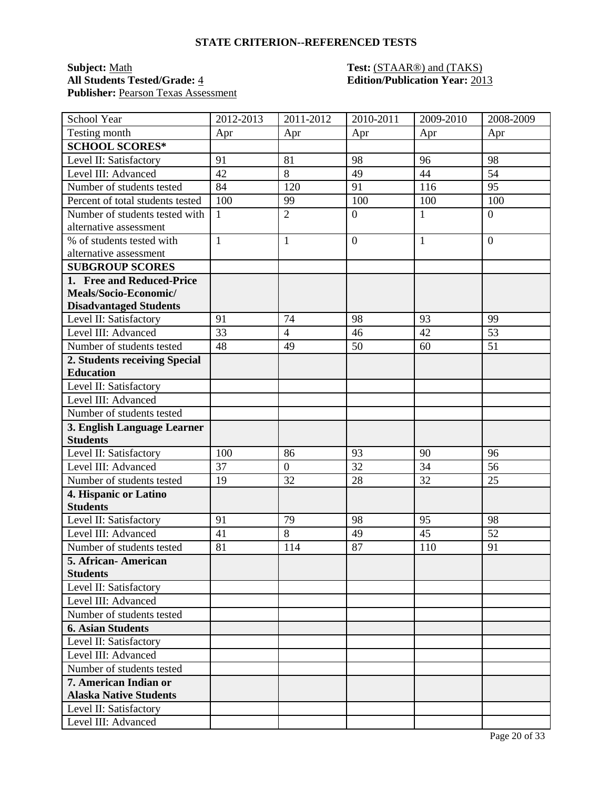### **Subject:** <u>Math</u> **Test:** (STAAR®) and (TAKS) **All Students Tested/Grade:** 4 **Edition/Publication Year:** 2013 **Publisher:** Pearson Texas Assessment

| School Year                      | 2012-2013       | 2011-2012      | 2010-2011      | 2009-2010    | 2008-2009        |
|----------------------------------|-----------------|----------------|----------------|--------------|------------------|
| Testing month                    | Apr             | Apr            | Apr            | Apr          | Apr              |
| <b>SCHOOL SCORES*</b>            |                 |                |                |              |                  |
| Level II: Satisfactory           | 91              | 81             | 98             | 96           | 98               |
| Level III: Advanced              | 42              | $8\,$          | 49             | 44           | 54               |
| Number of students tested        | 84              | 120            | 91             | 116          | 95               |
| Percent of total students tested | 100             | 99             | 100            | 100          | 100              |
| Number of students tested with   | $\mathbf{1}$    | $\overline{2}$ | $\overline{0}$ | 1            | $\boldsymbol{0}$ |
| alternative assessment           |                 |                |                |              |                  |
| % of students tested with        | $\mathbf{1}$    | $\mathbf{1}$   | $\overline{0}$ | $\mathbf{1}$ | $\overline{0}$   |
| alternative assessment           |                 |                |                |              |                  |
| <b>SUBGROUP SCORES</b>           |                 |                |                |              |                  |
| 1. Free and Reduced-Price        |                 |                |                |              |                  |
| Meals/Socio-Economic/            |                 |                |                |              |                  |
| <b>Disadvantaged Students</b>    |                 |                |                |              |                  |
| Level II: Satisfactory           | 91              | 74             | 98             | 93           | 99               |
| Level III: Advanced              | $\overline{33}$ | $\overline{4}$ | 46             | 42           | 53               |
| Number of students tested        | 48              | 49             | 50             | 60           | 51               |
| 2. Students receiving Special    |                 |                |                |              |                  |
| <b>Education</b>                 |                 |                |                |              |                  |
| Level II: Satisfactory           |                 |                |                |              |                  |
| Level III: Advanced              |                 |                |                |              |                  |
| Number of students tested        |                 |                |                |              |                  |
| 3. English Language Learner      |                 |                |                |              |                  |
| <b>Students</b>                  |                 |                |                |              |                  |
| Level II: Satisfactory           | 100             | 86             | 93             | 90           | 96               |
| Level III: Advanced              | 37              | $\overline{0}$ | 32             | 34           | 56               |
| Number of students tested        | 19              | 32             | 28             | 32           | 25               |
| 4. Hispanic or Latino            |                 |                |                |              |                  |
| <b>Students</b>                  |                 |                |                |              |                  |
| Level II: Satisfactory           | 91              | 79             | 98             | 95           | 98               |
| Level III: Advanced              | 41              | 8              | 49             | 45           | 52               |
| Number of students tested        | 81              | 114            | 87             | 110          | 91               |
| 5. African- American             |                 |                |                |              |                  |
| <b>Students</b>                  |                 |                |                |              |                  |
| Level II: Satisfactory           |                 |                |                |              |                  |
| Level III: Advanced              |                 |                |                |              |                  |
| Number of students tested        |                 |                |                |              |                  |
| <b>6. Asian Students</b>         |                 |                |                |              |                  |
| Level II: Satisfactory           |                 |                |                |              |                  |
| Level III: Advanced              |                 |                |                |              |                  |
| Number of students tested        |                 |                |                |              |                  |
| 7. American Indian or            |                 |                |                |              |                  |
| <b>Alaska Native Students</b>    |                 |                |                |              |                  |
| Level II: Satisfactory           |                 |                |                |              |                  |
| Level III: Advanced              |                 |                |                |              |                  |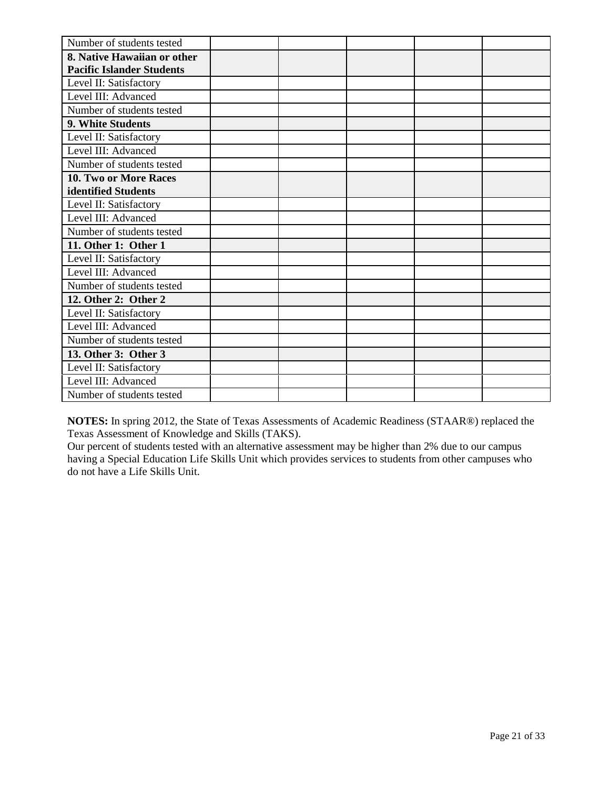| Number of students tested        |  |  |  |
|----------------------------------|--|--|--|
| 8. Native Hawaiian or other      |  |  |  |
| <b>Pacific Islander Students</b> |  |  |  |
| Level II: Satisfactory           |  |  |  |
| Level III: Advanced              |  |  |  |
| Number of students tested        |  |  |  |
| 9. White Students                |  |  |  |
| Level II: Satisfactory           |  |  |  |
| Level III: Advanced              |  |  |  |
| Number of students tested        |  |  |  |
| 10. Two or More Races            |  |  |  |
| identified Students              |  |  |  |
| Level II: Satisfactory           |  |  |  |
| Level III: Advanced              |  |  |  |
| Number of students tested        |  |  |  |
| 11. Other 1: Other 1             |  |  |  |
| Level II: Satisfactory           |  |  |  |
| Level III: Advanced              |  |  |  |
| Number of students tested        |  |  |  |
| 12. Other 2: Other 2             |  |  |  |
| Level II: Satisfactory           |  |  |  |
| Level III: Advanced              |  |  |  |
| Number of students tested        |  |  |  |
| 13. Other 3: Other 3             |  |  |  |
| Level II: Satisfactory           |  |  |  |
| Level III: Advanced              |  |  |  |
| Number of students tested        |  |  |  |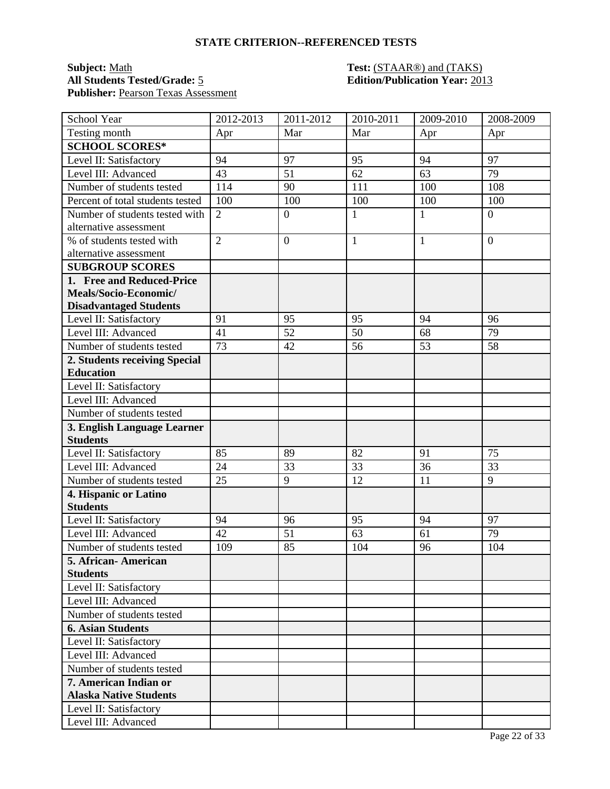### **Subject:** <u>Math</u> **Test:** (STAAR®) and (TAKS) **All Students Tested/Grade:** 5 **Edition/Publication Year:** 2013 Publisher: Pearson Texas Assessment

| School Year                      | 2012-2013      | 2011-2012        | 2010-2011    | 2009-2010    | 2008-2009        |
|----------------------------------|----------------|------------------|--------------|--------------|------------------|
| Testing month                    | Apr            | Mar              | Mar          | Apr          | Apr              |
| <b>SCHOOL SCORES*</b>            |                |                  |              |              |                  |
| Level II: Satisfactory           | 94             | 97               | 95           | 94           | 97               |
| Level III: Advanced              | 43             | 51               | 62           | 63           | 79               |
| Number of students tested        | 114            | 90               | 111          | 100          | 108              |
| Percent of total students tested | 100            | 100              | 100          | 100          | 100              |
| Number of students tested with   | $\overline{2}$ | $\boldsymbol{0}$ | $\mathbf{1}$ | 1            | $\boldsymbol{0}$ |
| alternative assessment           |                |                  |              |              |                  |
| % of students tested with        | $\overline{2}$ | $\overline{0}$   | $\mathbf{1}$ | $\mathbf{1}$ | $\overline{0}$   |
| alternative assessment           |                |                  |              |              |                  |
| <b>SUBGROUP SCORES</b>           |                |                  |              |              |                  |
| 1. Free and Reduced-Price        |                |                  |              |              |                  |
| Meals/Socio-Economic/            |                |                  |              |              |                  |
| <b>Disadvantaged Students</b>    |                |                  |              |              |                  |
| Level II: Satisfactory           | 91             | 95               | 95           | 94           | 96               |
| Level III: Advanced              | 41             | $\overline{52}$  | 50           | 68           | 79               |
| Number of students tested        | 73             | 42               | 56           | 53           | 58               |
| 2. Students receiving Special    |                |                  |              |              |                  |
| <b>Education</b>                 |                |                  |              |              |                  |
| Level II: Satisfactory           |                |                  |              |              |                  |
| Level III: Advanced              |                |                  |              |              |                  |
| Number of students tested        |                |                  |              |              |                  |
| 3. English Language Learner      |                |                  |              |              |                  |
| <b>Students</b>                  |                |                  |              |              |                  |
| Level II: Satisfactory           | 85             | 89               | 82           | 91           | 75               |
| Level III: Advanced              | 24             | 33               | 33           | 36           | 33               |
| Number of students tested        | 25             | 9                | 12           | 11           | 9                |
| 4. Hispanic or Latino            |                |                  |              |              |                  |
| <b>Students</b>                  |                |                  |              |              |                  |
| Level II: Satisfactory           | 94             | 96               | 95           | 94           | 97               |
| Level III: Advanced              | 42             | 51               | 63           | 61           | 79               |
| Number of students tested        | 109            | 85               | 104          | 96           | 104              |
| 5. African- American             |                |                  |              |              |                  |
| <b>Students</b>                  |                |                  |              |              |                  |
| Level II: Satisfactory           |                |                  |              |              |                  |
| Level III: Advanced              |                |                  |              |              |                  |
| Number of students tested        |                |                  |              |              |                  |
| <b>6. Asian Students</b>         |                |                  |              |              |                  |
| Level II: Satisfactory           |                |                  |              |              |                  |
| Level III: Advanced              |                |                  |              |              |                  |
| Number of students tested        |                |                  |              |              |                  |
| 7. American Indian or            |                |                  |              |              |                  |
| <b>Alaska Native Students</b>    |                |                  |              |              |                  |
| Level II: Satisfactory           |                |                  |              |              |                  |
| Level III: Advanced              |                |                  |              |              |                  |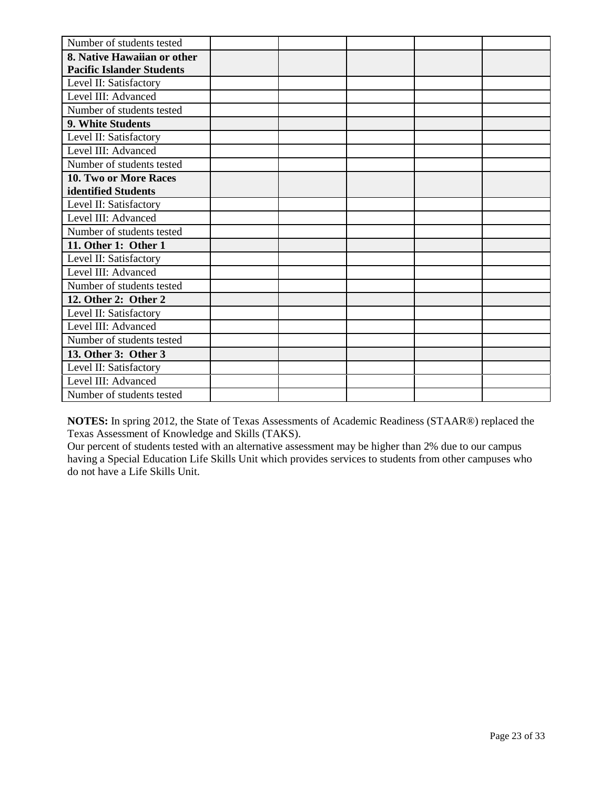| Number of students tested        |  |  |  |
|----------------------------------|--|--|--|
| 8. Native Hawaiian or other      |  |  |  |
| <b>Pacific Islander Students</b> |  |  |  |
| Level II: Satisfactory           |  |  |  |
| Level III: Advanced              |  |  |  |
| Number of students tested        |  |  |  |
| 9. White Students                |  |  |  |
| Level II: Satisfactory           |  |  |  |
| Level III: Advanced              |  |  |  |
| Number of students tested        |  |  |  |
| 10. Two or More Races            |  |  |  |
| identified Students              |  |  |  |
| Level II: Satisfactory           |  |  |  |
| Level III: Advanced              |  |  |  |
| Number of students tested        |  |  |  |
| 11. Other 1: Other 1             |  |  |  |
| Level II: Satisfactory           |  |  |  |
| Level III: Advanced              |  |  |  |
| Number of students tested        |  |  |  |
| 12. Other 2: Other 2             |  |  |  |
| Level II: Satisfactory           |  |  |  |
| Level III: Advanced              |  |  |  |
| Number of students tested        |  |  |  |
| 13. Other 3: Other 3             |  |  |  |
| Level II: Satisfactory           |  |  |  |
| Level III: Advanced              |  |  |  |
| Number of students tested        |  |  |  |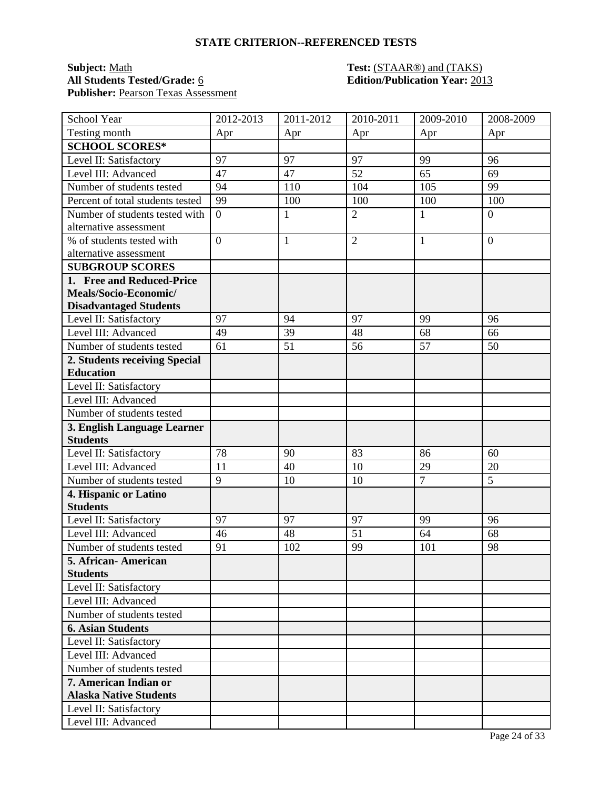### **Subject:** <u>Math</u> **Test:** (STAAR®) and (TAKS) **All Students Tested/Grade:** 6 **Edition/Publication Year:** 2013 Publisher: Pearson Texas Assessment

| School Year                      | 2012-2013      | 2011-2012    | 2010-2011      | 2009-2010      | 2008-2009        |
|----------------------------------|----------------|--------------|----------------|----------------|------------------|
| Testing month                    | Apr            | Apr          | Apr            | Apr            | Apr              |
| <b>SCHOOL SCORES*</b>            |                |              |                |                |                  |
| Level II: Satisfactory           | 97             | 97           | 97             | 99             | 96               |
| Level III: Advanced              | 47             | 47           | 52             | 65             | 69               |
| Number of students tested        | 94             | 110          | 104            | 105            | 99               |
| Percent of total students tested | 99             | 100          | 100            | 100            | 100              |
| Number of students tested with   | $\overline{0}$ | 1            | $\overline{2}$ | 1              | $\boldsymbol{0}$ |
| alternative assessment           |                |              |                |                |                  |
| % of students tested with        | $\overline{0}$ | $\mathbf{1}$ | $\overline{2}$ | $\mathbf{1}$   | $\overline{0}$   |
| alternative assessment           |                |              |                |                |                  |
| <b>SUBGROUP SCORES</b>           |                |              |                |                |                  |
| 1. Free and Reduced-Price        |                |              |                |                |                  |
| Meals/Socio-Economic/            |                |              |                |                |                  |
| <b>Disadvantaged Students</b>    |                |              |                |                |                  |
| Level II: Satisfactory           | 97             | 94           | 97             | 99             | 96               |
| Level III: Advanced              | 49             | 39           | 48             | 68             | 66               |
| Number of students tested        | 61             | 51           | 56             | 57             | 50               |
| 2. Students receiving Special    |                |              |                |                |                  |
| <b>Education</b>                 |                |              |                |                |                  |
| Level II: Satisfactory           |                |              |                |                |                  |
| Level III: Advanced              |                |              |                |                |                  |
| Number of students tested        |                |              |                |                |                  |
| 3. English Language Learner      |                |              |                |                |                  |
| <b>Students</b>                  |                |              |                |                |                  |
| Level II: Satisfactory           | 78             | 90           | 83             | 86             | 60               |
| Level III: Advanced              | 11             | 40           | 10             | 29             | 20               |
| Number of students tested        | 9              | 10           | 10             | $\overline{7}$ | 5                |
| 4. Hispanic or Latino            |                |              |                |                |                  |
| <b>Students</b>                  |                |              |                |                |                  |
| Level II: Satisfactory           | 97             | 97           | 97             | 99             | 96               |
| Level III: Advanced              | 46             | 48           | 51             | 64             | 68               |
| Number of students tested        | 91             | 102          | 99             | 101            | 98               |
| 5. African- American             |                |              |                |                |                  |
| <b>Students</b>                  |                |              |                |                |                  |
| Level II: Satisfactory           |                |              |                |                |                  |
| Level III: Advanced              |                |              |                |                |                  |
| Number of students tested        |                |              |                |                |                  |
| <b>6. Asian Students</b>         |                |              |                |                |                  |
| Level II: Satisfactory           |                |              |                |                |                  |
| Level III: Advanced              |                |              |                |                |                  |
| Number of students tested        |                |              |                |                |                  |
| 7. American Indian or            |                |              |                |                |                  |
| <b>Alaska Native Students</b>    |                |              |                |                |                  |
| Level II: Satisfactory           |                |              |                |                |                  |
| Level III: Advanced              |                |              |                |                |                  |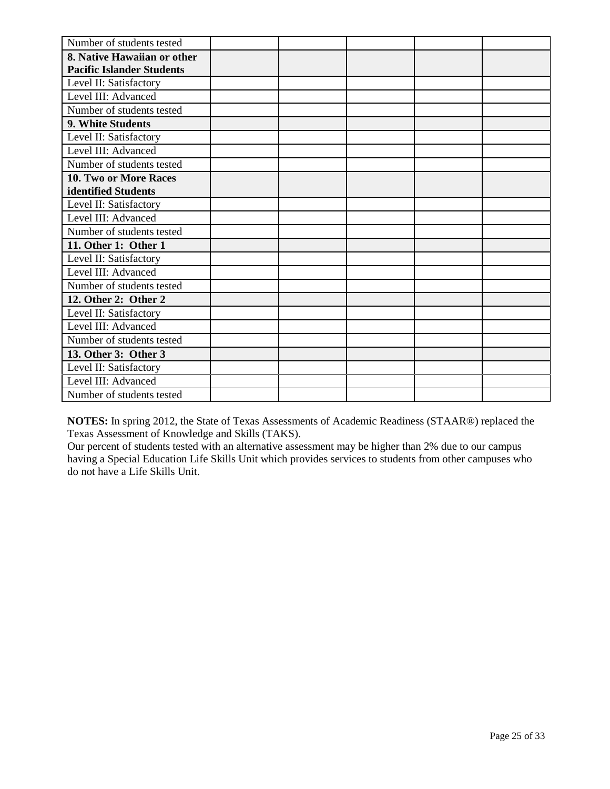| Number of students tested        |  |  |  |
|----------------------------------|--|--|--|
| 8. Native Hawaiian or other      |  |  |  |
| <b>Pacific Islander Students</b> |  |  |  |
| Level II: Satisfactory           |  |  |  |
| Level III: Advanced              |  |  |  |
| Number of students tested        |  |  |  |
| 9. White Students                |  |  |  |
| Level II: Satisfactory           |  |  |  |
| Level III: Advanced              |  |  |  |
| Number of students tested        |  |  |  |
| 10. Two or More Races            |  |  |  |
| identified Students              |  |  |  |
| Level II: Satisfactory           |  |  |  |
| Level III: Advanced              |  |  |  |
| Number of students tested        |  |  |  |
| 11. Other 1: Other 1             |  |  |  |
| Level II: Satisfactory           |  |  |  |
| Level III: Advanced              |  |  |  |
| Number of students tested        |  |  |  |
| 12. Other 2: Other 2             |  |  |  |
| Level II: Satisfactory           |  |  |  |
| Level III: Advanced              |  |  |  |
| Number of students tested        |  |  |  |
| 13. Other 3: Other 3             |  |  |  |
| Level II: Satisfactory           |  |  |  |
| Level III: Advanced              |  |  |  |
| Number of students tested        |  |  |  |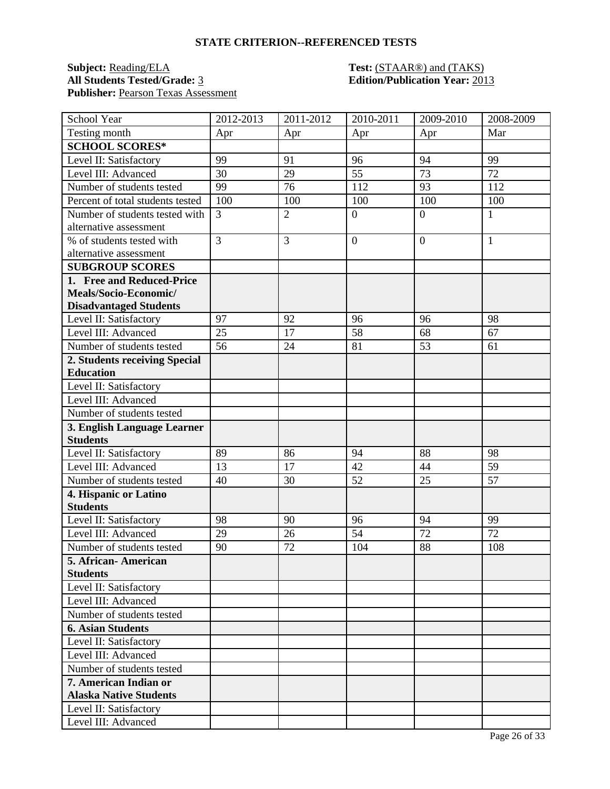## **Subject:** <u>Reading/ELA</u> **Test:** <u>(STAAR®) and (TAKS)</u><br>All Students Tested/Grade: <u>3</u> **Edition/Publication Year:** 201 Publisher: Pearson Texas Assessment

# **All Students Tested/Grade:** 3 **Edition/Publication Year:** 2013

| School Year                      | 2012-2013      | $2011 - 2012$  | 2010-2011        | 2009-2010      | 2008-2009    |
|----------------------------------|----------------|----------------|------------------|----------------|--------------|
| Testing month                    | Apr            | Apr            | Apr              | Apr            | Mar          |
| <b>SCHOOL SCORES*</b>            |                |                |                  |                |              |
| Level II: Satisfactory           | 99             | 91             | 96               | 94             | 99           |
| Level III: Advanced              | 30             | 29             | 55               | 73             | 72           |
| Number of students tested        | 99             | 76             | 112              | 93             | 112          |
| Percent of total students tested | 100            | 100            | 100              | 100            | 100          |
| Number of students tested with   | $\overline{3}$ | $\overline{2}$ | $\overline{0}$   | $\overline{0}$ | $\mathbf{1}$ |
| alternative assessment           |                |                |                  |                |              |
| % of students tested with        | $\overline{3}$ | 3              | $\boldsymbol{0}$ | $\overline{0}$ | $\mathbf{1}$ |
| alternative assessment           |                |                |                  |                |              |
| <b>SUBGROUP SCORES</b>           |                |                |                  |                |              |
| 1. Free and Reduced-Price        |                |                |                  |                |              |
| Meals/Socio-Economic/            |                |                |                  |                |              |
| <b>Disadvantaged Students</b>    |                |                |                  |                |              |
| Level II: Satisfactory           | 97             | 92             | 96               | 96             | 98           |
| Level III: Advanced              | 25             | 17             | 58               | 68             | 67           |
| Number of students tested        | 56             | 24             | 81               | 53             | 61           |
| 2. Students receiving Special    |                |                |                  |                |              |
| <b>Education</b>                 |                |                |                  |                |              |
| Level II: Satisfactory           |                |                |                  |                |              |
| Level III: Advanced              |                |                |                  |                |              |
| Number of students tested        |                |                |                  |                |              |
| 3. English Language Learner      |                |                |                  |                |              |
| <b>Students</b>                  |                |                |                  |                |              |
| Level II: Satisfactory           | 89             | 86             | 94               | 88             | 98           |
| Level III: Advanced              | 13             | 17             | 42               | 44             | 59           |
| Number of students tested        | 40             | 30             | 52               | 25             | 57           |
| 4. Hispanic or Latino            |                |                |                  |                |              |
| <b>Students</b>                  |                |                |                  |                |              |
| Level II: Satisfactory           | 98             | 90             | 96               | 94             | 99           |
| Level III: Advanced              | 29             | 26             | 54               | 72             | 72           |
| Number of students tested        | 90             | 72             | 104              | 88             | 108          |
| 5. African-American              |                |                |                  |                |              |
| <b>Students</b>                  |                |                |                  |                |              |
| Level II: Satisfactory           |                |                |                  |                |              |
| Level III: Advanced              |                |                |                  |                |              |
| Number of students tested        |                |                |                  |                |              |
| <b>6. Asian Students</b>         |                |                |                  |                |              |
| Level II: Satisfactory           |                |                |                  |                |              |
| Level III: Advanced              |                |                |                  |                |              |
| Number of students tested        |                |                |                  |                |              |
| 7. American Indian or            |                |                |                  |                |              |
| <b>Alaska Native Students</b>    |                |                |                  |                |              |
| Level II: Satisfactory           |                |                |                  |                |              |
| Level III: Advanced              |                |                |                  |                |              |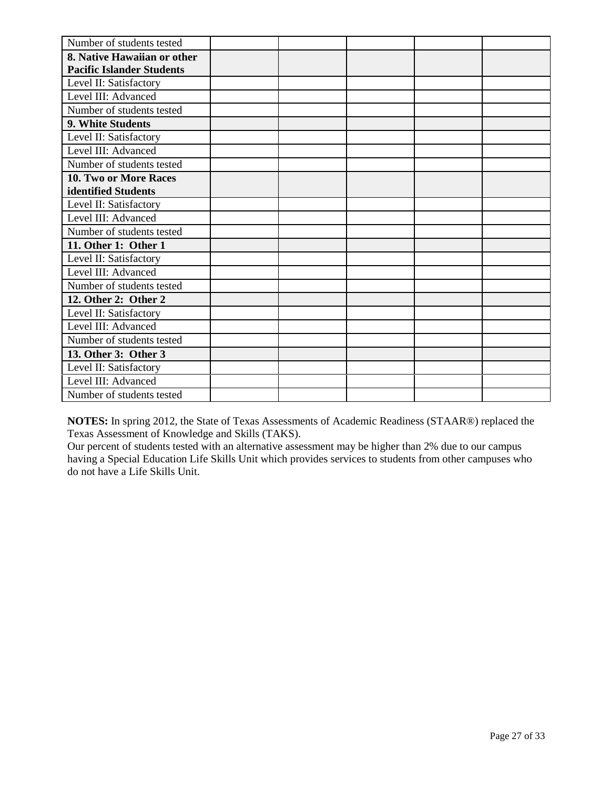| Number of students tested        |  |  |  |
|----------------------------------|--|--|--|
| 8. Native Hawaiian or other      |  |  |  |
| <b>Pacific Islander Students</b> |  |  |  |
| Level II: Satisfactory           |  |  |  |
| Level III: Advanced              |  |  |  |
| Number of students tested        |  |  |  |
| 9. White Students                |  |  |  |
| Level II: Satisfactory           |  |  |  |
| Level III: Advanced              |  |  |  |
| Number of students tested        |  |  |  |
| 10. Two or More Races            |  |  |  |
| identified Students              |  |  |  |
| Level II: Satisfactory           |  |  |  |
| Level III: Advanced              |  |  |  |
| Number of students tested        |  |  |  |
| 11. Other 1: Other 1             |  |  |  |
| Level II: Satisfactory           |  |  |  |
| Level III: Advanced              |  |  |  |
| Number of students tested        |  |  |  |
| 12. Other 2: Other 2             |  |  |  |
| Level II: Satisfactory           |  |  |  |
| Level III: Advanced              |  |  |  |
| Number of students tested        |  |  |  |
| 13. Other 3: Other 3             |  |  |  |
| Level II: Satisfactory           |  |  |  |
| Level III: Advanced              |  |  |  |
| Number of students tested        |  |  |  |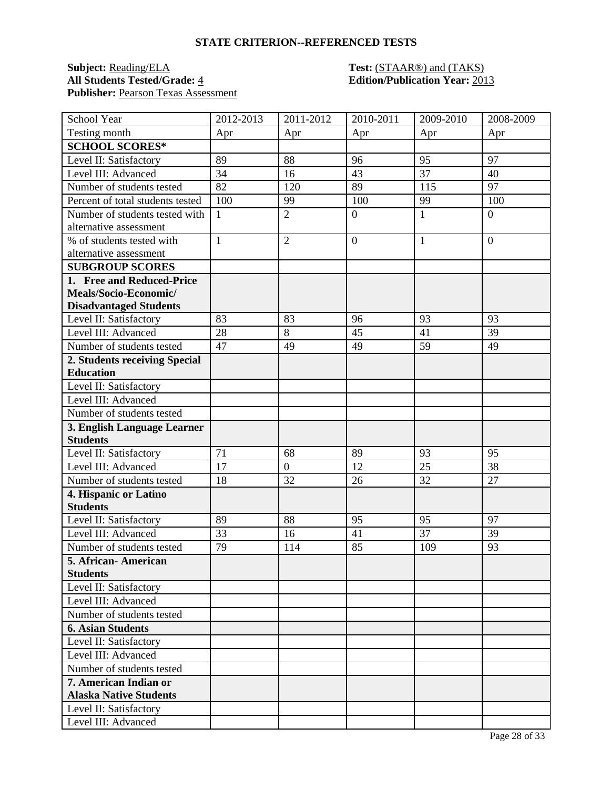## **Subject:** <u>Reading/ELA</u> **Test:** <u>(STAAR®) and (TAKS)</u><br>All Students Tested/Grade: <u>4</u> **Edition/Publication Year:** 201 Publisher: Pearson Texas Assessment

# **All Students Tested/Grade:** 4 **Edition/Publication Year:** 2013

| School Year                      | 2012-2013 | $2011 - 2012$    | 2010-2011        | 2009-2010 | 2008-2009        |
|----------------------------------|-----------|------------------|------------------|-----------|------------------|
| Testing month                    | Apr       | Apr              | Apr              | Apr       | Apr              |
| <b>SCHOOL SCORES*</b>            |           |                  |                  |           |                  |
| Level II: Satisfactory           | 89        | 88               | 96               | 95        | 97               |
| Level III: Advanced              | 34        | 16               | 43               | 37        | 40               |
| Number of students tested        | 82        | 120              | 89               | 115       | 97               |
| Percent of total students tested | 100       | 99               | 100              | 99        | 100              |
| Number of students tested with   | 1         | $\overline{2}$   | $\boldsymbol{0}$ | 1         | $\boldsymbol{0}$ |
| alternative assessment           |           |                  |                  |           |                  |
| % of students tested with        | 1         | $\overline{2}$   | $\overline{0}$   | 1         | $\overline{0}$   |
| alternative assessment           |           |                  |                  |           |                  |
| <b>SUBGROUP SCORES</b>           |           |                  |                  |           |                  |
| 1. Free and Reduced-Price        |           |                  |                  |           |                  |
| Meals/Socio-Economic/            |           |                  |                  |           |                  |
| <b>Disadvantaged Students</b>    |           |                  |                  |           |                  |
| Level II: Satisfactory           | 83        | 83               | 96               | 93        | 93               |
| Level III: Advanced              | 28        | 8                | 45               | 41        | 39               |
| Number of students tested        | 47        | 49               | 49               | 59        | 49               |
| 2. Students receiving Special    |           |                  |                  |           |                  |
| <b>Education</b>                 |           |                  |                  |           |                  |
| Level II: Satisfactory           |           |                  |                  |           |                  |
| Level III: Advanced              |           |                  |                  |           |                  |
| Number of students tested        |           |                  |                  |           |                  |
| 3. English Language Learner      |           |                  |                  |           |                  |
| <b>Students</b>                  |           |                  |                  |           |                  |
| Level II: Satisfactory           | 71        | 68               | 89               | 93        | 95               |
| Level III: Advanced              | 17        | $\boldsymbol{0}$ | 12               | 25        | 38               |
| Number of students tested        | 18        | 32               | 26               | 32        | 27               |
| 4. Hispanic or Latino            |           |                  |                  |           |                  |
| <b>Students</b>                  |           |                  |                  |           |                  |
| Level II: Satisfactory           | 89        | 88               | 95               | 95        | 97               |
| Level III: Advanced              | 33        | 16               | 41               | 37        | 39               |
| Number of students tested        | 79        | 114              | 85               | 109       | 93               |
| 5. African- American             |           |                  |                  |           |                  |
| <b>Students</b>                  |           |                  |                  |           |                  |
| Level II: Satisfactory           |           |                  |                  |           |                  |
| Level III: Advanced              |           |                  |                  |           |                  |
| Number of students tested        |           |                  |                  |           |                  |
| <b>6. Asian Students</b>         |           |                  |                  |           |                  |
| Level II: Satisfactory           |           |                  |                  |           |                  |
| Level III: Advanced              |           |                  |                  |           |                  |
| Number of students tested        |           |                  |                  |           |                  |
| 7. American Indian or            |           |                  |                  |           |                  |
| <b>Alaska Native Students</b>    |           |                  |                  |           |                  |
| Level II: Satisfactory           |           |                  |                  |           |                  |
| Level III: Advanced              |           |                  |                  |           |                  |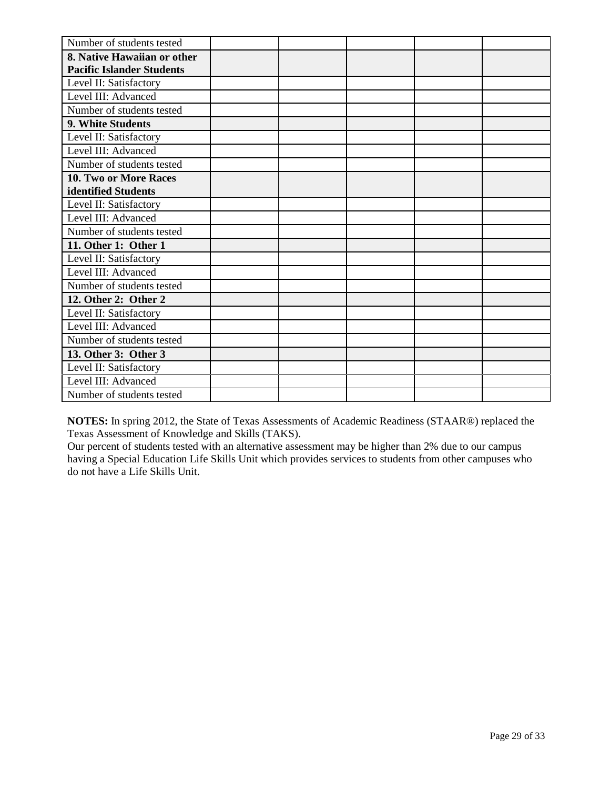| Number of students tested        |  |  |  |
|----------------------------------|--|--|--|
| 8. Native Hawaiian or other      |  |  |  |
| <b>Pacific Islander Students</b> |  |  |  |
| Level II: Satisfactory           |  |  |  |
| Level III: Advanced              |  |  |  |
| Number of students tested        |  |  |  |
| 9. White Students                |  |  |  |
| Level II: Satisfactory           |  |  |  |
| Level III: Advanced              |  |  |  |
| Number of students tested        |  |  |  |
| 10. Two or More Races            |  |  |  |
| identified Students              |  |  |  |
| Level II: Satisfactory           |  |  |  |
| Level III: Advanced              |  |  |  |
| Number of students tested        |  |  |  |
| 11. Other 1: Other 1             |  |  |  |
| Level II: Satisfactory           |  |  |  |
| Level III: Advanced              |  |  |  |
| Number of students tested        |  |  |  |
| 12. Other 2: Other 2             |  |  |  |
| Level II: Satisfactory           |  |  |  |
| Level III: Advanced              |  |  |  |
| Number of students tested        |  |  |  |
| 13. Other 3: Other 3             |  |  |  |
| Level II: Satisfactory           |  |  |  |
| Level III: Advanced              |  |  |  |
| Number of students tested        |  |  |  |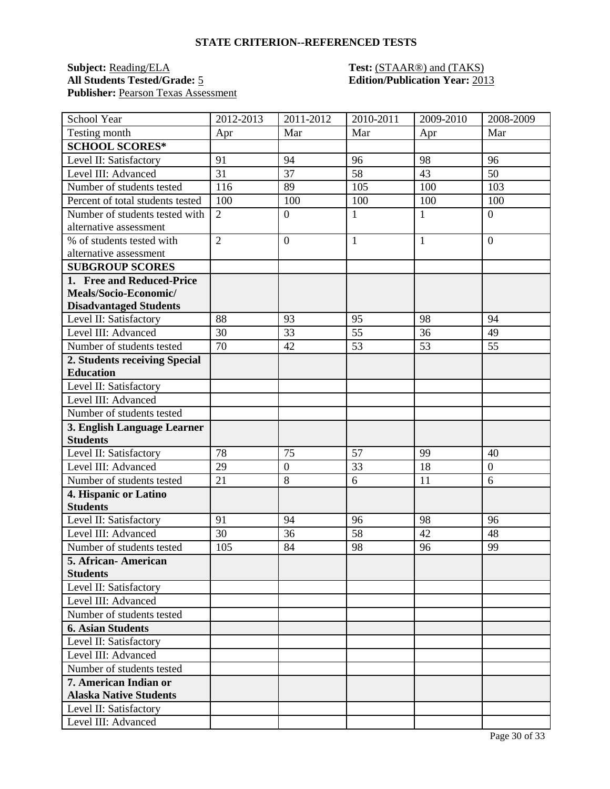## **Subject:** <u>Reading/ELA</u> **Test:** <u>(STAAR®) and (TAKS)</u><br>All Students Tested/Grade: <u>5</u> **Test: Edition/Publication Year:** 201 Publisher: Pearson Texas Assessment

# **All Students Tested/Grade:** 5 **Edition/Publication Year:** 2013

| School Year                      | 2012-2013      | 2011-2012        | 2010-2011       | 2009-2010 | 2008-2009        |
|----------------------------------|----------------|------------------|-----------------|-----------|------------------|
| Testing month                    | Apr            | Mar              | Mar             | Apr       | Mar              |
| <b>SCHOOL SCORES*</b>            |                |                  |                 |           |                  |
| Level II: Satisfactory           | 91             | 94               | 96              | 98        | 96               |
| Level III: Advanced              | 31             | 37               | 58              | 43        | 50               |
| Number of students tested        | 116            | 89               | 105             | 100       | 103              |
| Percent of total students tested | 100            | 100              | 100             | 100       | 100              |
| Number of students tested with   | $\overline{2}$ | $\boldsymbol{0}$ | $\mathbf{1}$    | 1         | $\overline{0}$   |
| alternative assessment           |                |                  |                 |           |                  |
| % of students tested with        | $\overline{2}$ | $\overline{0}$   | $\mathbf{1}$    | 1         | $\overline{0}$   |
| alternative assessment           |                |                  |                 |           |                  |
| <b>SUBGROUP SCORES</b>           |                |                  |                 |           |                  |
| 1. Free and Reduced-Price        |                |                  |                 |           |                  |
| Meals/Socio-Economic/            |                |                  |                 |           |                  |
| <b>Disadvantaged Students</b>    |                |                  |                 |           |                  |
| Level II: Satisfactory           | 88             | 93               | 95              | 98        | 94               |
| Level III: Advanced              | 30             | 33               | $\overline{55}$ | 36        | 49               |
| Number of students tested        | 70             | 42               | 53              | 53        | 55               |
| 2. Students receiving Special    |                |                  |                 |           |                  |
| <b>Education</b>                 |                |                  |                 |           |                  |
| Level II: Satisfactory           |                |                  |                 |           |                  |
| Level III: Advanced              |                |                  |                 |           |                  |
| Number of students tested        |                |                  |                 |           |                  |
| 3. English Language Learner      |                |                  |                 |           |                  |
| <b>Students</b>                  |                |                  |                 |           |                  |
| Level II: Satisfactory           | 78             | 75               | 57              | 99        | 40               |
| Level III: Advanced              | 29             | $\boldsymbol{0}$ | 33              | 18        | $\boldsymbol{0}$ |
| Number of students tested        | 21             | 8                | 6               | 11        | 6                |
| 4. Hispanic or Latino            |                |                  |                 |           |                  |
| <b>Students</b>                  |                |                  |                 |           |                  |
| Level II: Satisfactory           | 91             | 94               | 96              | 98        | 96               |
| Level III: Advanced              | 30             | 36               | 58              | 42        | 48               |
| Number of students tested        | 105            | 84               | 98              | 96        | 99               |
| 5. African-American              |                |                  |                 |           |                  |
| <b>Students</b>                  |                |                  |                 |           |                  |
| Level II: Satisfactory           |                |                  |                 |           |                  |
| Level III: Advanced              |                |                  |                 |           |                  |
| Number of students tested        |                |                  |                 |           |                  |
| <b>6. Asian Students</b>         |                |                  |                 |           |                  |
| Level II: Satisfactory           |                |                  |                 |           |                  |
| Level III: Advanced              |                |                  |                 |           |                  |
| Number of students tested        |                |                  |                 |           |                  |
| 7. American Indian or            |                |                  |                 |           |                  |
| <b>Alaska Native Students</b>    |                |                  |                 |           |                  |
| Level II: Satisfactory           |                |                  |                 |           |                  |
| Level III: Advanced              |                |                  |                 |           |                  |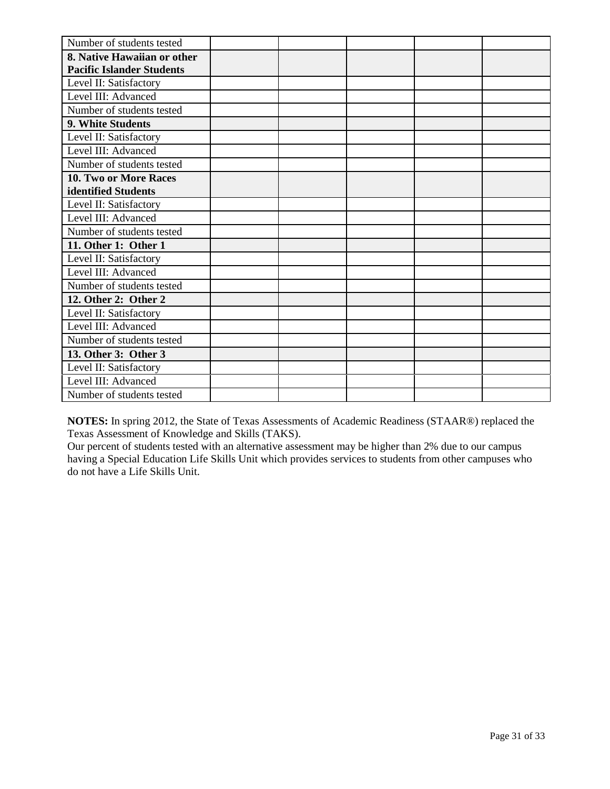| Number of students tested        |  |  |  |
|----------------------------------|--|--|--|
| 8. Native Hawaiian or other      |  |  |  |
| <b>Pacific Islander Students</b> |  |  |  |
| Level II: Satisfactory           |  |  |  |
| Level III: Advanced              |  |  |  |
| Number of students tested        |  |  |  |
| 9. White Students                |  |  |  |
| Level II: Satisfactory           |  |  |  |
| Level III: Advanced              |  |  |  |
| Number of students tested        |  |  |  |
| 10. Two or More Races            |  |  |  |
| identified Students              |  |  |  |
| Level II: Satisfactory           |  |  |  |
| Level III: Advanced              |  |  |  |
| Number of students tested        |  |  |  |
| 11. Other 1: Other 1             |  |  |  |
| Level II: Satisfactory           |  |  |  |
| Level III: Advanced              |  |  |  |
| Number of students tested        |  |  |  |
| 12. Other 2: Other 2             |  |  |  |
| Level II: Satisfactory           |  |  |  |
| Level III: Advanced              |  |  |  |
| Number of students tested        |  |  |  |
| 13. Other 3: Other 3             |  |  |  |
| Level II: Satisfactory           |  |  |  |
| Level III: Advanced              |  |  |  |
| Number of students tested        |  |  |  |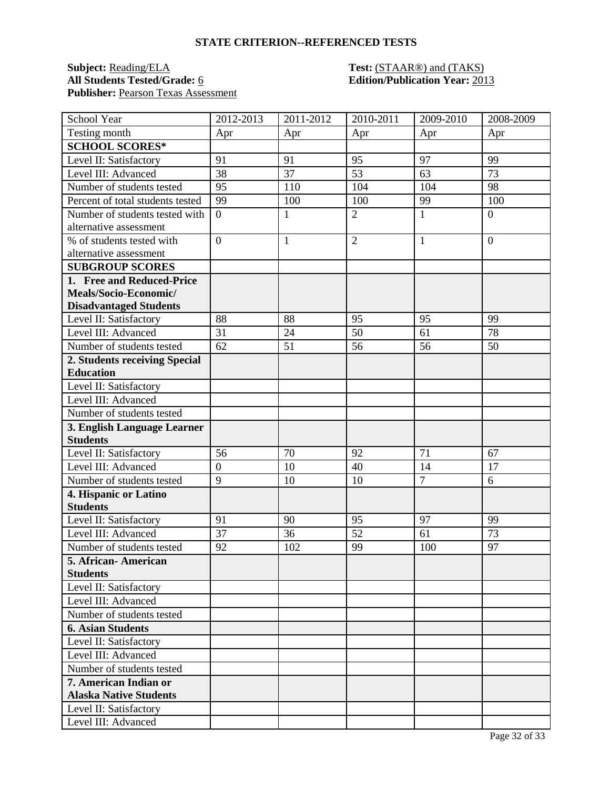## **Subject:** <u>Reading/ELA</u> **Test:** <u>(STAAR®) and (TAKS)</u><br>All Students Tested/Grade: <u>6</u> **Test: Edition/Publication Year:** 201 Publisher: Pearson Texas Assessment

# **All Students Tested/Grade:** 6 **Edition/Publication Year:** 2013

| School Year                      | 2012-2013      | 2011-2012    | 2010-2011      | 2009-2010      | 2008-2009      |
|----------------------------------|----------------|--------------|----------------|----------------|----------------|
| Testing month                    | Apr            | Apr          | Apr            | Apr            | Apr            |
| <b>SCHOOL SCORES*</b>            |                |              |                |                |                |
| Level II: Satisfactory           | 91             | 91           | 95             | 97             | 99             |
| Level III: Advanced              | 38             | 37           | 53             | 63             | 73             |
| Number of students tested        | 95             | 110          | 104            | 104            | 98             |
| Percent of total students tested | 99             | 100          | 100            | 99             | 100            |
| Number of students tested with   | $\overline{0}$ | $\mathbf{1}$ | $\overline{2}$ | $\mathbf{1}$   | $\overline{0}$ |
| alternative assessment           |                |              |                |                |                |
| % of students tested with        | $\overline{0}$ | $\mathbf{1}$ | $\overline{2}$ | $\mathbf{1}$   | $\overline{0}$ |
| alternative assessment           |                |              |                |                |                |
| <b>SUBGROUP SCORES</b>           |                |              |                |                |                |
| 1. Free and Reduced-Price        |                |              |                |                |                |
| Meals/Socio-Economic/            |                |              |                |                |                |
| <b>Disadvantaged Students</b>    |                |              |                |                |                |
| Level II: Satisfactory           | 88             | 88           | 95             | 95             | 99             |
| Level III: Advanced              | 31             | 24           | 50             | 61             | 78             |
| Number of students tested        | 62             | 51           | 56             | 56             | 50             |
| 2. Students receiving Special    |                |              |                |                |                |
| <b>Education</b>                 |                |              |                |                |                |
| Level II: Satisfactory           |                |              |                |                |                |
| Level III: Advanced              |                |              |                |                |                |
| Number of students tested        |                |              |                |                |                |
| 3. English Language Learner      |                |              |                |                |                |
| <b>Students</b>                  |                |              |                |                |                |
| Level II: Satisfactory           | 56             | 70           | 92             | 71             | 67             |
| Level III: Advanced              | $\overline{0}$ | 10           | 40             | 14             | 17             |
| Number of students tested        | 9              | 10           | 10             | $\overline{7}$ | 6              |
| 4. Hispanic or Latino            |                |              |                |                |                |
| <b>Students</b>                  |                |              |                |                |                |
| Level II: Satisfactory           | 91             | 90           | 95             | 97             | 99             |
| Level III: Advanced              | 37             | 36           | 52             | 61             | 73             |
| Number of students tested        | 92             | 102          | 99             | 100            | 97             |
| 5. African-American              |                |              |                |                |                |
| <b>Students</b>                  |                |              |                |                |                |
| Level II: Satisfactory           |                |              |                |                |                |
| Level III: Advanced              |                |              |                |                |                |
| Number of students tested        |                |              |                |                |                |
| <b>6. Asian Students</b>         |                |              |                |                |                |
| Level II: Satisfactory           |                |              |                |                |                |
| Level III: Advanced              |                |              |                |                |                |
| Number of students tested        |                |              |                |                |                |
| 7. American Indian or            |                |              |                |                |                |
| <b>Alaska Native Students</b>    |                |              |                |                |                |
| Level II: Satisfactory           |                |              |                |                |                |
| Level III: Advanced              |                |              |                |                |                |